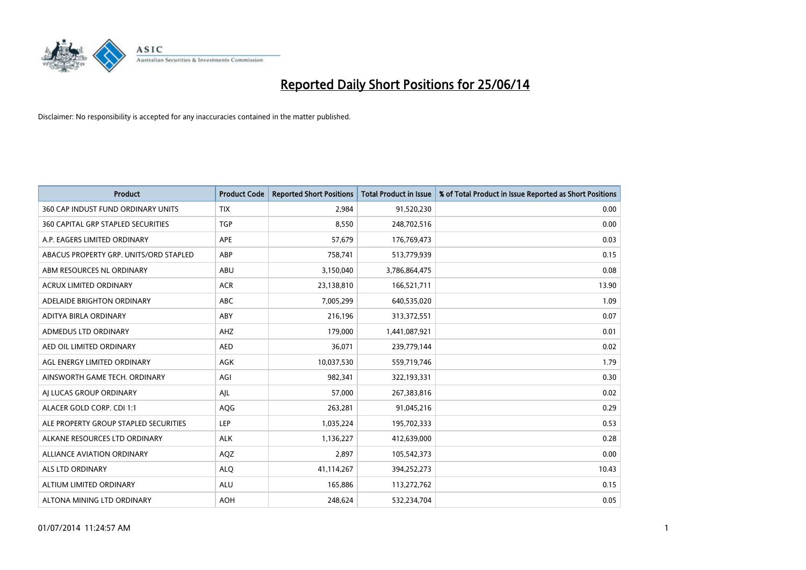

| <b>Product</b>                         | <b>Product Code</b> | <b>Reported Short Positions</b> | <b>Total Product in Issue</b> | % of Total Product in Issue Reported as Short Positions |
|----------------------------------------|---------------------|---------------------------------|-------------------------------|---------------------------------------------------------|
| 360 CAP INDUST FUND ORDINARY UNITS     | <b>TIX</b>          | 2,984                           | 91,520,230                    | 0.00                                                    |
| 360 CAPITAL GRP STAPLED SECURITIES     | <b>TGP</b>          | 8,550                           | 248,702,516                   | 0.00                                                    |
| A.P. EAGERS LIMITED ORDINARY           | APE                 | 57,679                          | 176,769,473                   | 0.03                                                    |
| ABACUS PROPERTY GRP. UNITS/ORD STAPLED | ABP                 | 758,741                         | 513,779,939                   | 0.15                                                    |
| ABM RESOURCES NL ORDINARY              | ABU                 | 3,150,040                       | 3,786,864,475                 | 0.08                                                    |
| <b>ACRUX LIMITED ORDINARY</b>          | <b>ACR</b>          | 23,138,810                      | 166,521,711                   | 13.90                                                   |
| ADELAIDE BRIGHTON ORDINARY             | <b>ABC</b>          | 7,005,299                       | 640,535,020                   | 1.09                                                    |
| ADITYA BIRLA ORDINARY                  | ABY                 | 216,196                         | 313,372,551                   | 0.07                                                    |
| ADMEDUS LTD ORDINARY                   | AHZ                 | 179,000                         | 1,441,087,921                 | 0.01                                                    |
| AED OIL LIMITED ORDINARY               | <b>AED</b>          | 36,071                          | 239,779,144                   | 0.02                                                    |
| AGL ENERGY LIMITED ORDINARY            | AGK                 | 10,037,530                      | 559,719,746                   | 1.79                                                    |
| AINSWORTH GAME TECH. ORDINARY          | AGI                 | 982,341                         | 322,193,331                   | 0.30                                                    |
| AI LUCAS GROUP ORDINARY                | AJL                 | 57,000                          | 267,383,816                   | 0.02                                                    |
| ALACER GOLD CORP. CDI 1:1              | AQG                 | 263,281                         | 91,045,216                    | 0.29                                                    |
| ALE PROPERTY GROUP STAPLED SECURITIES  | LEP                 | 1,035,224                       | 195,702,333                   | 0.53                                                    |
| ALKANE RESOURCES LTD ORDINARY          | <b>ALK</b>          | 1,136,227                       | 412,639,000                   | 0.28                                                    |
| ALLIANCE AVIATION ORDINARY             | AQZ                 | 2,897                           | 105,542,373                   | 0.00                                                    |
| <b>ALS LTD ORDINARY</b>                | <b>ALQ</b>          | 41,114,267                      | 394,252,273                   | 10.43                                                   |
| ALTIUM LIMITED ORDINARY                | <b>ALU</b>          | 165,886                         | 113,272,762                   | 0.15                                                    |
| ALTONA MINING LTD ORDINARY             | <b>AOH</b>          | 248,624                         | 532,234,704                   | 0.05                                                    |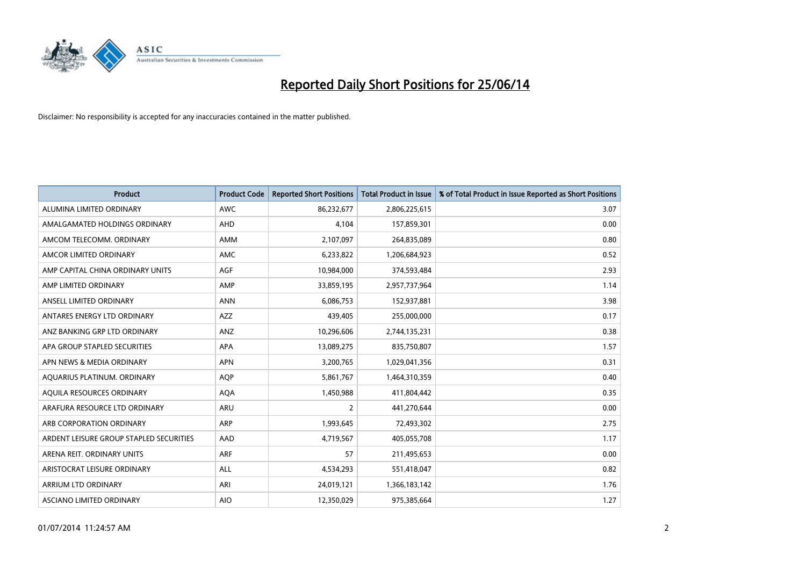

| <b>Product</b>                          | <b>Product Code</b> | <b>Reported Short Positions</b> | <b>Total Product in Issue</b> | % of Total Product in Issue Reported as Short Positions |
|-----------------------------------------|---------------------|---------------------------------|-------------------------------|---------------------------------------------------------|
| ALUMINA LIMITED ORDINARY                | <b>AWC</b>          | 86,232,677                      | 2,806,225,615                 | 3.07                                                    |
| AMALGAMATED HOLDINGS ORDINARY           | AHD                 | 4,104                           | 157,859,301                   | 0.00                                                    |
| AMCOM TELECOMM. ORDINARY                | <b>AMM</b>          | 2,107,097                       | 264,835,089                   | 0.80                                                    |
| AMCOR LIMITED ORDINARY                  | AMC                 | 6,233,822                       | 1,206,684,923                 | 0.52                                                    |
| AMP CAPITAL CHINA ORDINARY UNITS        | AGF                 | 10,984,000                      | 374,593,484                   | 2.93                                                    |
| AMP LIMITED ORDINARY                    | AMP                 | 33,859,195                      | 2,957,737,964                 | 1.14                                                    |
| ANSELL LIMITED ORDINARY                 | <b>ANN</b>          | 6,086,753                       | 152,937,881                   | 3.98                                                    |
| ANTARES ENERGY LTD ORDINARY             | AZZ                 | 439,405                         | 255,000,000                   | 0.17                                                    |
| ANZ BANKING GRP LTD ORDINARY            | ANZ                 | 10,296,606                      | 2,744,135,231                 | 0.38                                                    |
| APA GROUP STAPLED SECURITIES            | <b>APA</b>          | 13,089,275                      | 835,750,807                   | 1.57                                                    |
| APN NEWS & MEDIA ORDINARY               | <b>APN</b>          | 3,200,765                       | 1,029,041,356                 | 0.31                                                    |
| AQUARIUS PLATINUM. ORDINARY             | <b>AOP</b>          | 5,861,767                       | 1,464,310,359                 | 0.40                                                    |
| AQUILA RESOURCES ORDINARY               | <b>AQA</b>          | 1,450,988                       | 411,804,442                   | 0.35                                                    |
| ARAFURA RESOURCE LTD ORDINARY           | <b>ARU</b>          | 2                               | 441,270,644                   | 0.00                                                    |
| ARB CORPORATION ORDINARY                | ARP                 | 1,993,645                       | 72,493,302                    | 2.75                                                    |
| ARDENT LEISURE GROUP STAPLED SECURITIES | AAD                 | 4,719,567                       | 405,055,708                   | 1.17                                                    |
| ARENA REIT. ORDINARY UNITS              | <b>ARF</b>          | 57                              | 211,495,653                   | 0.00                                                    |
| ARISTOCRAT LEISURE ORDINARY             | <b>ALL</b>          | 4,534,293                       | 551,418,047                   | 0.82                                                    |
| ARRIUM LTD ORDINARY                     | ARI                 | 24,019,121                      | 1,366,183,142                 | 1.76                                                    |
| ASCIANO LIMITED ORDINARY                | <b>AIO</b>          | 12,350,029                      | 975,385,664                   | 1.27                                                    |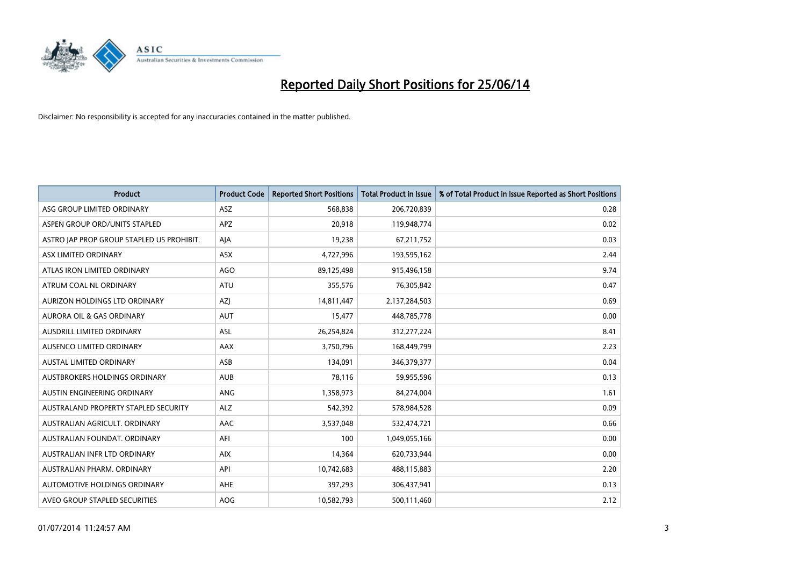

| <b>Product</b>                            | <b>Product Code</b> | <b>Reported Short Positions</b> | <b>Total Product in Issue</b> | % of Total Product in Issue Reported as Short Positions |
|-------------------------------------------|---------------------|---------------------------------|-------------------------------|---------------------------------------------------------|
| ASG GROUP LIMITED ORDINARY                | <b>ASZ</b>          | 568,838                         | 206,720,839                   | 0.28                                                    |
| ASPEN GROUP ORD/UNITS STAPLED             | APZ                 | 20,918                          | 119,948,774                   | 0.02                                                    |
| ASTRO JAP PROP GROUP STAPLED US PROHIBIT. | AJA                 | 19,238                          | 67,211,752                    | 0.03                                                    |
| ASX LIMITED ORDINARY                      | ASX                 | 4,727,996                       | 193,595,162                   | 2.44                                                    |
| ATLAS IRON LIMITED ORDINARY               | <b>AGO</b>          | 89,125,498                      | 915,496,158                   | 9.74                                                    |
| ATRUM COAL NL ORDINARY                    | <b>ATU</b>          | 355,576                         | 76,305,842                    | 0.47                                                    |
| AURIZON HOLDINGS LTD ORDINARY             | AZJ                 | 14,811,447                      | 2,137,284,503                 | 0.69                                                    |
| AURORA OIL & GAS ORDINARY                 | <b>AUT</b>          | 15,477                          | 448,785,778                   | 0.00                                                    |
| AUSDRILL LIMITED ORDINARY                 | <b>ASL</b>          | 26,254,824                      | 312,277,224                   | 8.41                                                    |
| AUSENCO LIMITED ORDINARY                  | AAX                 | 3,750,796                       | 168,449,799                   | 2.23                                                    |
| AUSTAL LIMITED ORDINARY                   | ASB                 | 134,091                         | 346,379,377                   | 0.04                                                    |
| AUSTBROKERS HOLDINGS ORDINARY             | <b>AUB</b>          | 78,116                          | 59,955,596                    | 0.13                                                    |
| AUSTIN ENGINEERING ORDINARY               | ANG                 | 1,358,973                       | 84,274,004                    | 1.61                                                    |
| AUSTRALAND PROPERTY STAPLED SECURITY      | <b>ALZ</b>          | 542,392                         | 578,984,528                   | 0.09                                                    |
| AUSTRALIAN AGRICULT, ORDINARY             | <b>AAC</b>          | 3,537,048                       | 532,474,721                   | 0.66                                                    |
| AUSTRALIAN FOUNDAT. ORDINARY              | AFI                 | 100                             | 1,049,055,166                 | 0.00                                                    |
| AUSTRALIAN INFR LTD ORDINARY              | <b>AIX</b>          | 14,364                          | 620,733,944                   | 0.00                                                    |
| AUSTRALIAN PHARM, ORDINARY                | API                 | 10,742,683                      | 488,115,883                   | 2.20                                                    |
| AUTOMOTIVE HOLDINGS ORDINARY              | AHE                 | 397,293                         | 306,437,941                   | 0.13                                                    |
| AVEO GROUP STAPLED SECURITIES             | AOG                 | 10,582,793                      | 500,111,460                   | 2.12                                                    |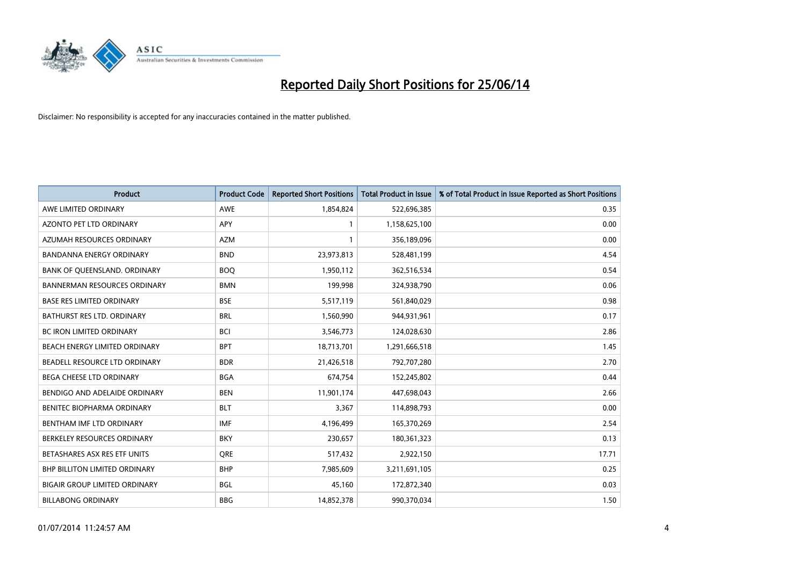

| <b>Product</b>                       | <b>Product Code</b> | <b>Reported Short Positions</b> | <b>Total Product in Issue</b> | % of Total Product in Issue Reported as Short Positions |
|--------------------------------------|---------------------|---------------------------------|-------------------------------|---------------------------------------------------------|
| AWE LIMITED ORDINARY                 | <b>AWE</b>          | 1,854,824                       | 522,696,385                   | 0.35                                                    |
| AZONTO PET LTD ORDINARY              | APY                 | 1                               | 1,158,625,100                 | 0.00                                                    |
| AZUMAH RESOURCES ORDINARY            | AZM                 | $\mathbf{1}$                    | 356,189,096                   | 0.00                                                    |
| BANDANNA ENERGY ORDINARY             | <b>BND</b>          | 23,973,813                      | 528,481,199                   | 4.54                                                    |
| BANK OF QUEENSLAND. ORDINARY         | <b>BOQ</b>          | 1,950,112                       | 362,516,534                   | 0.54                                                    |
| <b>BANNERMAN RESOURCES ORDINARY</b>  | <b>BMN</b>          | 199,998                         | 324,938,790                   | 0.06                                                    |
| <b>BASE RES LIMITED ORDINARY</b>     | <b>BSE</b>          | 5,517,119                       | 561,840,029                   | 0.98                                                    |
| <b>BATHURST RES LTD. ORDINARY</b>    | <b>BRL</b>          | 1,560,990                       | 944,931,961                   | 0.17                                                    |
| BC IRON LIMITED ORDINARY             | <b>BCI</b>          | 3,546,773                       | 124,028,630                   | 2.86                                                    |
| BEACH ENERGY LIMITED ORDINARY        | <b>BPT</b>          | 18,713,701                      | 1,291,666,518                 | 1.45                                                    |
| BEADELL RESOURCE LTD ORDINARY        | <b>BDR</b>          | 21,426,518                      | 792,707,280                   | 2.70                                                    |
| BEGA CHEESE LTD ORDINARY             | <b>BGA</b>          | 674,754                         | 152,245,802                   | 0.44                                                    |
| BENDIGO AND ADELAIDE ORDINARY        | <b>BEN</b>          | 11,901,174                      | 447,698,043                   | 2.66                                                    |
| BENITEC BIOPHARMA ORDINARY           | <b>BLT</b>          | 3,367                           | 114,898,793                   | 0.00                                                    |
| BENTHAM IMF LTD ORDINARY             | <b>IMF</b>          | 4,196,499                       | 165,370,269                   | 2.54                                                    |
| BERKELEY RESOURCES ORDINARY          | <b>BKY</b>          | 230,657                         | 180,361,323                   | 0.13                                                    |
| BETASHARES ASX RES ETF UNITS         | <b>ORE</b>          | 517,432                         | 2,922,150                     | 17.71                                                   |
| <b>BHP BILLITON LIMITED ORDINARY</b> | <b>BHP</b>          | 7,985,609                       | 3,211,691,105                 | 0.25                                                    |
| <b>BIGAIR GROUP LIMITED ORDINARY</b> | <b>BGL</b>          | 45,160                          | 172,872,340                   | 0.03                                                    |
| <b>BILLABONG ORDINARY</b>            | <b>BBG</b>          | 14,852,378                      | 990,370,034                   | 1.50                                                    |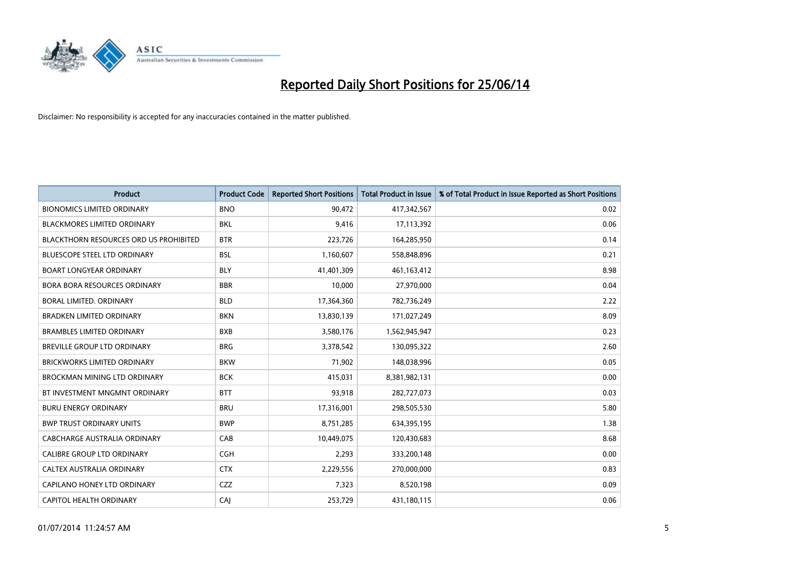

| <b>Product</b>                                | <b>Product Code</b> | <b>Reported Short Positions</b> | <b>Total Product in Issue</b> | % of Total Product in Issue Reported as Short Positions |
|-----------------------------------------------|---------------------|---------------------------------|-------------------------------|---------------------------------------------------------|
| <b>BIONOMICS LIMITED ORDINARY</b>             | <b>BNO</b>          | 90,472                          | 417,342,567                   | 0.02                                                    |
| <b>BLACKMORES LIMITED ORDINARY</b>            | BKL                 | 9,416                           | 17,113,392                    | 0.06                                                    |
| <b>BLACKTHORN RESOURCES ORD US PROHIBITED</b> | <b>BTR</b>          | 223,726                         | 164,285,950                   | 0.14                                                    |
| BLUESCOPE STEEL LTD ORDINARY                  | <b>BSL</b>          | 1,160,607                       | 558,848,896                   | 0.21                                                    |
| <b>BOART LONGYEAR ORDINARY</b>                | <b>BLY</b>          | 41,401,309                      | 461, 163, 412                 | 8.98                                                    |
| BORA BORA RESOURCES ORDINARY                  | <b>BBR</b>          | 10,000                          | 27,970,000                    | 0.04                                                    |
| BORAL LIMITED, ORDINARY                       | <b>BLD</b>          | 17,364,360                      | 782,736,249                   | 2.22                                                    |
| <b>BRADKEN LIMITED ORDINARY</b>               | <b>BKN</b>          | 13,830,139                      | 171,027,249                   | 8.09                                                    |
| <b>BRAMBLES LIMITED ORDINARY</b>              | <b>BXB</b>          | 3,580,176                       | 1,562,945,947                 | 0.23                                                    |
| <b>BREVILLE GROUP LTD ORDINARY</b>            | <b>BRG</b>          | 3,378,542                       | 130,095,322                   | 2.60                                                    |
| <b>BRICKWORKS LIMITED ORDINARY</b>            | <b>BKW</b>          | 71,902                          | 148,038,996                   | 0.05                                                    |
| <b>BROCKMAN MINING LTD ORDINARY</b>           | <b>BCK</b>          | 415,031                         | 8,381,982,131                 | 0.00                                                    |
| BT INVESTMENT MNGMNT ORDINARY                 | <b>BTT</b>          | 93,918                          | 282,727,073                   | 0.03                                                    |
| <b>BURU ENERGY ORDINARY</b>                   | <b>BRU</b>          | 17,316,001                      | 298,505,530                   | 5.80                                                    |
| <b>BWP TRUST ORDINARY UNITS</b>               | <b>BWP</b>          | 8,751,285                       | 634,395,195                   | 1.38                                                    |
| <b>CABCHARGE AUSTRALIA ORDINARY</b>           | CAB                 | 10,449,075                      | 120,430,683                   | 8.68                                                    |
| CALIBRE GROUP LTD ORDINARY                    | <b>CGH</b>          | 2,293                           | 333,200,148                   | 0.00                                                    |
| CALTEX AUSTRALIA ORDINARY                     | <b>CTX</b>          | 2,229,556                       | 270,000,000                   | 0.83                                                    |
| CAPILANO HONEY LTD ORDINARY                   | CZZ                 | 7,323                           | 8,520,198                     | 0.09                                                    |
| CAPITOL HEALTH ORDINARY                       | CAI                 | 253,729                         | 431,180,115                   | 0.06                                                    |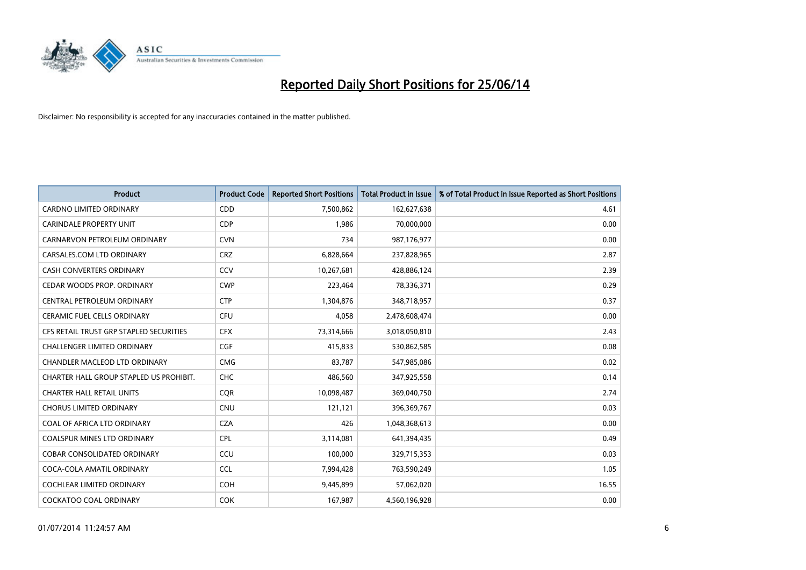

| <b>Product</b>                          | <b>Product Code</b> | <b>Reported Short Positions</b> | <b>Total Product in Issue</b> | % of Total Product in Issue Reported as Short Positions |
|-----------------------------------------|---------------------|---------------------------------|-------------------------------|---------------------------------------------------------|
| <b>CARDNO LIMITED ORDINARY</b>          | CDD                 | 7,500,862                       | 162,627,638                   | 4.61                                                    |
| <b>CARINDALE PROPERTY UNIT</b>          | <b>CDP</b>          | 1,986                           | 70,000,000                    | 0.00                                                    |
| CARNARVON PETROLEUM ORDINARY            | <b>CVN</b>          | 734                             | 987,176,977                   | 0.00                                                    |
| CARSALES.COM LTD ORDINARY               | <b>CRZ</b>          | 6,828,664                       | 237,828,965                   | 2.87                                                    |
| <b>CASH CONVERTERS ORDINARY</b>         | CCV                 | 10,267,681                      | 428,886,124                   | 2.39                                                    |
| CEDAR WOODS PROP. ORDINARY              | <b>CWP</b>          | 223,464                         | 78,336,371                    | 0.29                                                    |
| CENTRAL PETROLEUM ORDINARY              | <b>CTP</b>          | 1,304,876                       | 348,718,957                   | 0.37                                                    |
| CERAMIC FUEL CELLS ORDINARY             | <b>CFU</b>          | 4,058                           | 2,478,608,474                 | 0.00                                                    |
| CFS RETAIL TRUST GRP STAPLED SECURITIES | <b>CFX</b>          | 73,314,666                      | 3,018,050,810                 | 2.43                                                    |
| <b>CHALLENGER LIMITED ORDINARY</b>      | <b>CGF</b>          | 415,833                         | 530,862,585                   | 0.08                                                    |
| CHANDLER MACLEOD LTD ORDINARY           | <b>CMG</b>          | 83,787                          | 547,985,086                   | 0.02                                                    |
| CHARTER HALL GROUP STAPLED US PROHIBIT. | <b>CHC</b>          | 486,560                         | 347,925,558                   | 0.14                                                    |
| <b>CHARTER HALL RETAIL UNITS</b>        | <b>COR</b>          | 10,098,487                      | 369,040,750                   | 2.74                                                    |
| <b>CHORUS LIMITED ORDINARY</b>          | <b>CNU</b>          | 121,121                         | 396,369,767                   | 0.03                                                    |
| COAL OF AFRICA LTD ORDINARY             | <b>CZA</b>          | 426                             | 1,048,368,613                 | 0.00                                                    |
| COALSPUR MINES LTD ORDINARY             | <b>CPL</b>          | 3,114,081                       | 641,394,435                   | 0.49                                                    |
| COBAR CONSOLIDATED ORDINARY             | CCU                 | 100,000                         | 329,715,353                   | 0.03                                                    |
| COCA-COLA AMATIL ORDINARY               | <b>CCL</b>          | 7,994,428                       | 763,590,249                   | 1.05                                                    |
| <b>COCHLEAR LIMITED ORDINARY</b>        | <b>COH</b>          | 9,445,899                       | 57,062,020                    | 16.55                                                   |
| COCKATOO COAL ORDINARY                  | <b>COK</b>          | 167,987                         | 4,560,196,928                 | 0.00                                                    |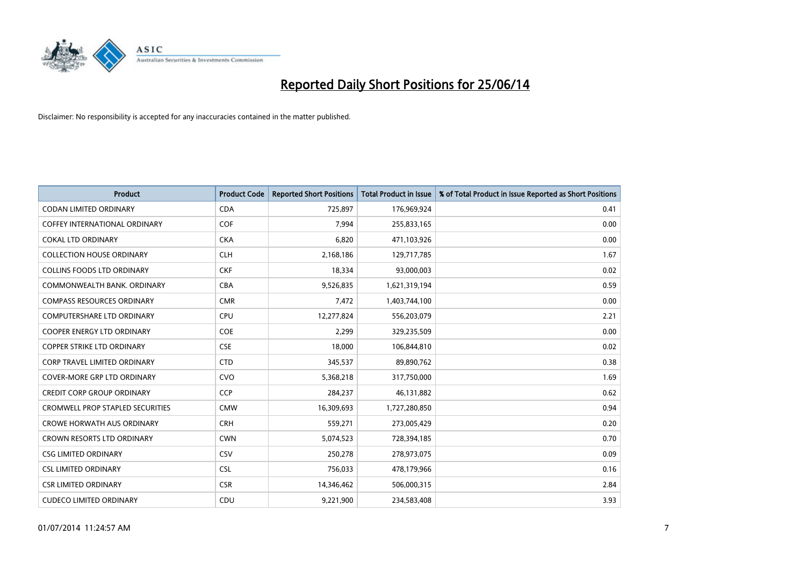

| <b>Product</b>                          | <b>Product Code</b> | <b>Reported Short Positions</b> | <b>Total Product in Issue</b> | % of Total Product in Issue Reported as Short Positions |
|-----------------------------------------|---------------------|---------------------------------|-------------------------------|---------------------------------------------------------|
| <b>CODAN LIMITED ORDINARY</b>           | <b>CDA</b>          | 725,897                         | 176,969,924                   | 0.41                                                    |
| COFFEY INTERNATIONAL ORDINARY           | <b>COF</b>          | 7,994                           | 255,833,165                   | 0.00                                                    |
| <b>COKAL LTD ORDINARY</b>               | <b>CKA</b>          | 6,820                           | 471,103,926                   | 0.00                                                    |
| <b>COLLECTION HOUSE ORDINARY</b>        | <b>CLH</b>          | 2,168,186                       | 129,717,785                   | 1.67                                                    |
| <b>COLLINS FOODS LTD ORDINARY</b>       | <b>CKF</b>          | 18,334                          | 93,000,003                    | 0.02                                                    |
| COMMONWEALTH BANK, ORDINARY             | <b>CBA</b>          | 9,526,835                       | 1,621,319,194                 | 0.59                                                    |
| <b>COMPASS RESOURCES ORDINARY</b>       | <b>CMR</b>          | 7,472                           | 1,403,744,100                 | 0.00                                                    |
| <b>COMPUTERSHARE LTD ORDINARY</b>       | <b>CPU</b>          | 12,277,824                      | 556,203,079                   | 2.21                                                    |
| <b>COOPER ENERGY LTD ORDINARY</b>       | <b>COE</b>          | 2,299                           | 329,235,509                   | 0.00                                                    |
| <b>COPPER STRIKE LTD ORDINARY</b>       | <b>CSE</b>          | 18,000                          | 106,844,810                   | 0.02                                                    |
| <b>CORP TRAVEL LIMITED ORDINARY</b>     | <b>CTD</b>          | 345,537                         | 89,890,762                    | 0.38                                                    |
| <b>COVER-MORE GRP LTD ORDINARY</b>      | <b>CVO</b>          | 5,368,218                       | 317,750,000                   | 1.69                                                    |
| <b>CREDIT CORP GROUP ORDINARY</b>       | CCP                 | 284,237                         | 46,131,882                    | 0.62                                                    |
| <b>CROMWELL PROP STAPLED SECURITIES</b> | <b>CMW</b>          | 16,309,693                      | 1,727,280,850                 | 0.94                                                    |
| <b>CROWE HORWATH AUS ORDINARY</b>       | <b>CRH</b>          | 559,271                         | 273,005,429                   | 0.20                                                    |
| <b>CROWN RESORTS LTD ORDINARY</b>       | <b>CWN</b>          | 5,074,523                       | 728,394,185                   | 0.70                                                    |
| <b>CSG LIMITED ORDINARY</b>             | <b>CSV</b>          | 250,278                         | 278,973,075                   | 0.09                                                    |
| <b>CSL LIMITED ORDINARY</b>             | <b>CSL</b>          | 756,033                         | 478,179,966                   | 0.16                                                    |
| <b>CSR LIMITED ORDINARY</b>             | <b>CSR</b>          | 14,346,462                      | 506,000,315                   | 2.84                                                    |
| <b>CUDECO LIMITED ORDINARY</b>          | CDU                 | 9,221,900                       | 234,583,408                   | 3.93                                                    |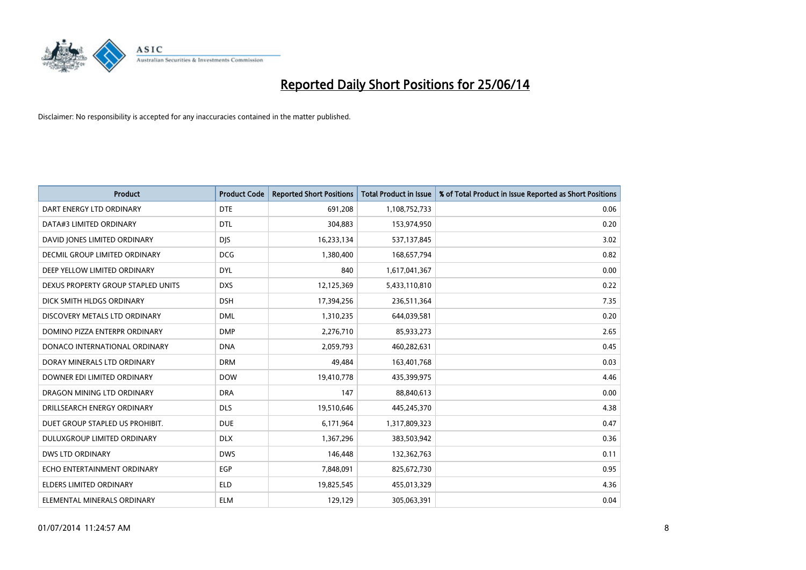

| <b>Product</b>                       | <b>Product Code</b> | <b>Reported Short Positions</b> | <b>Total Product in Issue</b> | % of Total Product in Issue Reported as Short Positions |
|--------------------------------------|---------------------|---------------------------------|-------------------------------|---------------------------------------------------------|
| DART ENERGY LTD ORDINARY             | <b>DTE</b>          | 691,208                         | 1,108,752,733                 | 0.06                                                    |
| DATA#3 LIMITED ORDINARY              | <b>DTL</b>          | 304,883                         | 153,974,950                   | 0.20                                                    |
| DAVID JONES LIMITED ORDINARY         | <b>DJS</b>          | 16,233,134                      | 537,137,845                   | 3.02                                                    |
| <b>DECMIL GROUP LIMITED ORDINARY</b> | <b>DCG</b>          | 1,380,400                       | 168,657,794                   | 0.82                                                    |
| DEEP YELLOW LIMITED ORDINARY         | <b>DYL</b>          | 840                             | 1,617,041,367                 | 0.00                                                    |
| DEXUS PROPERTY GROUP STAPLED UNITS   | <b>DXS</b>          | 12,125,369                      | 5,433,110,810                 | 0.22                                                    |
| DICK SMITH HLDGS ORDINARY            | <b>DSH</b>          | 17,394,256                      | 236,511,364                   | 7.35                                                    |
| DISCOVERY METALS LTD ORDINARY        | <b>DML</b>          | 1,310,235                       | 644,039,581                   | 0.20                                                    |
| DOMINO PIZZA ENTERPR ORDINARY        | <b>DMP</b>          | 2,276,710                       | 85,933,273                    | 2.65                                                    |
| DONACO INTERNATIONAL ORDINARY        | <b>DNA</b>          | 2,059,793                       | 460,282,631                   | 0.45                                                    |
| DORAY MINERALS LTD ORDINARY          | <b>DRM</b>          | 49,484                          | 163,401,768                   | 0.03                                                    |
| DOWNER EDI LIMITED ORDINARY          | <b>DOW</b>          | 19,410,778                      | 435,399,975                   | 4.46                                                    |
| DRAGON MINING LTD ORDINARY           | <b>DRA</b>          | 147                             | 88,840,613                    | 0.00                                                    |
| DRILLSEARCH ENERGY ORDINARY          | <b>DLS</b>          | 19,510,646                      | 445,245,370                   | 4.38                                                    |
| DUET GROUP STAPLED US PROHIBIT.      | <b>DUE</b>          | 6,171,964                       | 1,317,809,323                 | 0.47                                                    |
| DULUXGROUP LIMITED ORDINARY          | <b>DLX</b>          | 1,367,296                       | 383,503,942                   | 0.36                                                    |
| <b>DWS LTD ORDINARY</b>              | <b>DWS</b>          | 146,448                         | 132,362,763                   | 0.11                                                    |
| ECHO ENTERTAINMENT ORDINARY          | <b>EGP</b>          | 7,848,091                       | 825,672,730                   | 0.95                                                    |
| <b>ELDERS LIMITED ORDINARY</b>       | <b>ELD</b>          | 19,825,545                      | 455,013,329                   | 4.36                                                    |
| ELEMENTAL MINERALS ORDINARY          | <b>ELM</b>          | 129,129                         | 305,063,391                   | 0.04                                                    |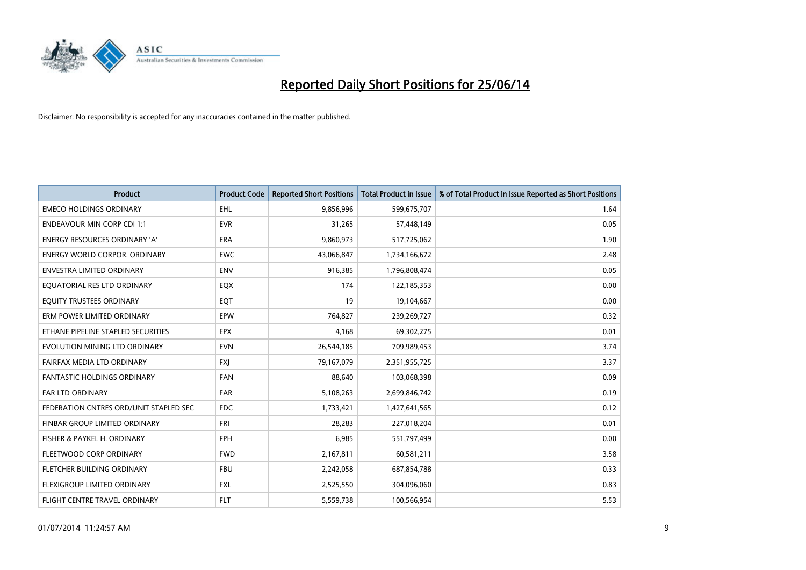

| <b>Product</b>                         | <b>Product Code</b> | <b>Reported Short Positions</b> | <b>Total Product in Issue</b> | % of Total Product in Issue Reported as Short Positions |
|----------------------------------------|---------------------|---------------------------------|-------------------------------|---------------------------------------------------------|
| <b>EMECO HOLDINGS ORDINARY</b>         | <b>EHL</b>          | 9,856,996                       | 599,675,707                   | 1.64                                                    |
| <b>ENDEAVOUR MIN CORP CDI 1:1</b>      | <b>EVR</b>          | 31,265                          | 57,448,149                    | 0.05                                                    |
| ENERGY RESOURCES ORDINARY 'A'          | <b>ERA</b>          | 9,860,973                       | 517,725,062                   | 1.90                                                    |
| ENERGY WORLD CORPOR. ORDINARY          | <b>EWC</b>          | 43,066,847                      | 1,734,166,672                 | 2.48                                                    |
| <b>ENVESTRA LIMITED ORDINARY</b>       | <b>ENV</b>          | 916,385                         | 1,796,808,474                 | 0.05                                                    |
| EQUATORIAL RES LTD ORDINARY            | EQX                 | 174                             | 122,185,353                   | 0.00                                                    |
| EQUITY TRUSTEES ORDINARY               | EQT                 | 19                              | 19,104,667                    | 0.00                                                    |
| ERM POWER LIMITED ORDINARY             | <b>EPW</b>          | 764,827                         | 239,269,727                   | 0.32                                                    |
| ETHANE PIPELINE STAPLED SECURITIES     | <b>EPX</b>          | 4,168                           | 69,302,275                    | 0.01                                                    |
| EVOLUTION MINING LTD ORDINARY          | <b>EVN</b>          | 26,544,185                      | 709,989,453                   | 3.74                                                    |
| FAIRFAX MEDIA LTD ORDINARY             | <b>FXI</b>          | 79,167,079                      | 2,351,955,725                 | 3.37                                                    |
| <b>FANTASTIC HOLDINGS ORDINARY</b>     | <b>FAN</b>          | 88,640                          | 103,068,398                   | 0.09                                                    |
| FAR LTD ORDINARY                       | <b>FAR</b>          | 5,108,263                       | 2,699,846,742                 | 0.19                                                    |
| FEDERATION CNTRES ORD/UNIT STAPLED SEC | <b>FDC</b>          | 1,733,421                       | 1,427,641,565                 | 0.12                                                    |
| FINBAR GROUP LIMITED ORDINARY          | <b>FRI</b>          | 28,283                          | 227,018,204                   | 0.01                                                    |
| FISHER & PAYKEL H. ORDINARY            | <b>FPH</b>          | 6,985                           | 551,797,499                   | 0.00                                                    |
| FLEETWOOD CORP ORDINARY                | <b>FWD</b>          | 2,167,811                       | 60,581,211                    | 3.58                                                    |
| FLETCHER BUILDING ORDINARY             | <b>FBU</b>          | 2,242,058                       | 687,854,788                   | 0.33                                                    |
| FLEXIGROUP LIMITED ORDINARY            | <b>FXL</b>          | 2,525,550                       | 304,096,060                   | 0.83                                                    |
| FLIGHT CENTRE TRAVEL ORDINARY          | <b>FLT</b>          | 5,559,738                       | 100,566,954                   | 5.53                                                    |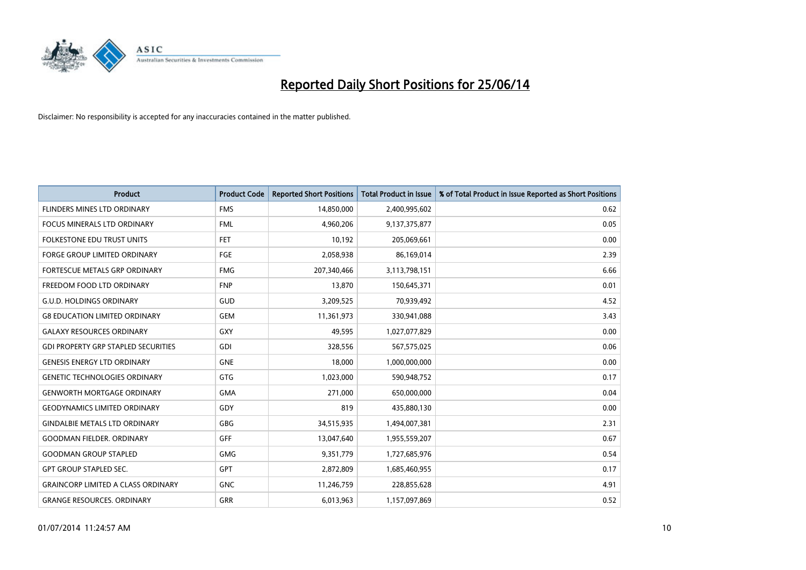

| <b>Product</b>                             | <b>Product Code</b> | <b>Reported Short Positions</b> | <b>Total Product in Issue</b> | % of Total Product in Issue Reported as Short Positions |
|--------------------------------------------|---------------------|---------------------------------|-------------------------------|---------------------------------------------------------|
| <b>FLINDERS MINES LTD ORDINARY</b>         | <b>FMS</b>          | 14,850,000                      | 2,400,995,602                 | 0.62                                                    |
| <b>FOCUS MINERALS LTD ORDINARY</b>         | <b>FML</b>          | 4,960,206                       | 9,137,375,877                 | 0.05                                                    |
| FOLKESTONE EDU TRUST UNITS                 | <b>FET</b>          | 10,192                          | 205,069,661                   | 0.00                                                    |
| FORGE GROUP LIMITED ORDINARY               | FGE                 | 2,058,938                       | 86,169,014                    | 2.39                                                    |
| <b>FORTESCUE METALS GRP ORDINARY</b>       | <b>FMG</b>          | 207,340,466                     | 3,113,798,151                 | 6.66                                                    |
| FREEDOM FOOD LTD ORDINARY                  | <b>FNP</b>          | 13,870                          | 150,645,371                   | 0.01                                                    |
| <b>G.U.D. HOLDINGS ORDINARY</b>            | <b>GUD</b>          | 3,209,525                       | 70,939,492                    | 4.52                                                    |
| <b>G8 EDUCATION LIMITED ORDINARY</b>       | <b>GEM</b>          | 11,361,973                      | 330,941,088                   | 3.43                                                    |
| <b>GALAXY RESOURCES ORDINARY</b>           | GXY                 | 49,595                          | 1,027,077,829                 | 0.00                                                    |
| <b>GDI PROPERTY GRP STAPLED SECURITIES</b> | GDI                 | 328,556                         | 567,575,025                   | 0.06                                                    |
| <b>GENESIS ENERGY LTD ORDINARY</b>         | <b>GNE</b>          | 18,000                          | 1,000,000,000                 | 0.00                                                    |
| <b>GENETIC TECHNOLOGIES ORDINARY</b>       | GTG                 | 1,023,000                       | 590,948,752                   | 0.17                                                    |
| <b>GENWORTH MORTGAGE ORDINARY</b>          | <b>GMA</b>          | 271,000                         | 650,000,000                   | 0.04                                                    |
| <b>GEODYNAMICS LIMITED ORDINARY</b>        | GDY                 | 819                             | 435,880,130                   | 0.00                                                    |
| <b>GINDALBIE METALS LTD ORDINARY</b>       | GBG                 | 34,515,935                      | 1,494,007,381                 | 2.31                                                    |
| <b>GOODMAN FIELDER, ORDINARY</b>           | <b>GFF</b>          | 13,047,640                      | 1,955,559,207                 | 0.67                                                    |
| <b>GOODMAN GROUP STAPLED</b>               | <b>GMG</b>          | 9,351,779                       | 1,727,685,976                 | 0.54                                                    |
| <b>GPT GROUP STAPLED SEC.</b>              | <b>GPT</b>          | 2,872,809                       | 1,685,460,955                 | 0.17                                                    |
| <b>GRAINCORP LIMITED A CLASS ORDINARY</b>  | <b>GNC</b>          | 11,246,759                      | 228,855,628                   | 4.91                                                    |
| <b>GRANGE RESOURCES. ORDINARY</b>          | GRR                 | 6,013,963                       | 1,157,097,869                 | 0.52                                                    |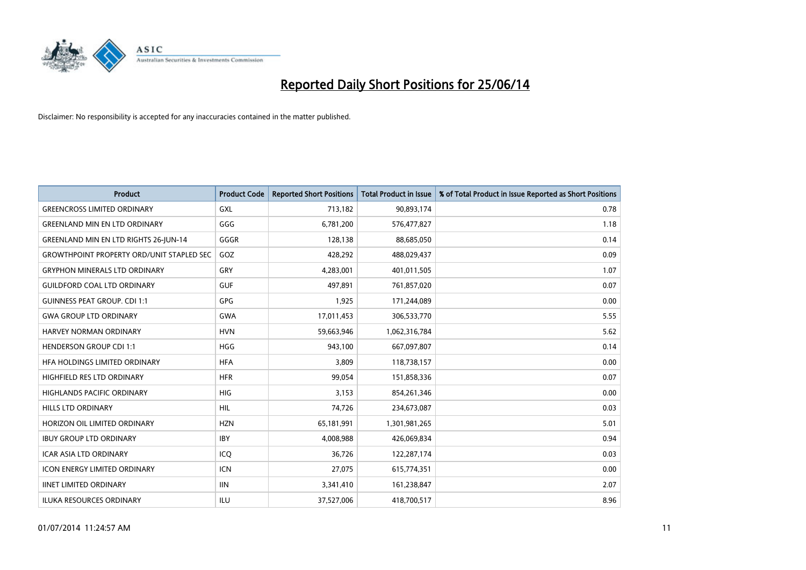

| <b>Product</b>                                   | <b>Product Code</b> | <b>Reported Short Positions</b> | <b>Total Product in Issue</b> | % of Total Product in Issue Reported as Short Positions |
|--------------------------------------------------|---------------------|---------------------------------|-------------------------------|---------------------------------------------------------|
| <b>GREENCROSS LIMITED ORDINARY</b>               | <b>GXL</b>          | 713,182                         | 90,893,174                    | 0.78                                                    |
| <b>GREENLAND MIN EN LTD ORDINARY</b>             | GGG                 | 6,781,200                       | 576,477,827                   | 1.18                                                    |
| <b>GREENLAND MIN EN LTD RIGHTS 26-JUN-14</b>     | GGGR                | 128,138                         | 88,685,050                    | 0.14                                                    |
| <b>GROWTHPOINT PROPERTY ORD/UNIT STAPLED SEC</b> | GOZ                 | 428,292                         | 488,029,437                   | 0.09                                                    |
| <b>GRYPHON MINERALS LTD ORDINARY</b>             | GRY                 | 4,283,001                       | 401,011,505                   | 1.07                                                    |
| <b>GUILDFORD COAL LTD ORDINARY</b>               | <b>GUF</b>          | 497,891                         | 761,857,020                   | 0.07                                                    |
| <b>GUINNESS PEAT GROUP. CDI 1:1</b>              | <b>GPG</b>          | 1,925                           | 171,244,089                   | 0.00                                                    |
| <b>GWA GROUP LTD ORDINARY</b>                    | <b>GWA</b>          | 17,011,453                      | 306,533,770                   | 5.55                                                    |
| HARVEY NORMAN ORDINARY                           | <b>HVN</b>          | 59,663,946                      | 1,062,316,784                 | 5.62                                                    |
| <b>HENDERSON GROUP CDI 1:1</b>                   | <b>HGG</b>          | 943,100                         | 667,097,807                   | 0.14                                                    |
| HFA HOLDINGS LIMITED ORDINARY                    | <b>HFA</b>          | 3,809                           | 118,738,157                   | 0.00                                                    |
| HIGHFIELD RES LTD ORDINARY                       | <b>HFR</b>          | 99,054                          | 151,858,336                   | 0.07                                                    |
| HIGHLANDS PACIFIC ORDINARY                       | <b>HIG</b>          | 3,153                           | 854,261,346                   | 0.00                                                    |
| <b>HILLS LTD ORDINARY</b>                        | <b>HIL</b>          | 74,726                          | 234,673,087                   | 0.03                                                    |
| HORIZON OIL LIMITED ORDINARY                     | <b>HZN</b>          | 65,181,991                      | 1,301,981,265                 | 5.01                                                    |
| <b>IBUY GROUP LTD ORDINARY</b>                   | <b>IBY</b>          | 4,008,988                       | 426,069,834                   | 0.94                                                    |
| <b>ICAR ASIA LTD ORDINARY</b>                    | ICQ                 | 36,726                          | 122,287,174                   | 0.03                                                    |
| <b>ICON ENERGY LIMITED ORDINARY</b>              | <b>ICN</b>          | 27,075                          | 615,774,351                   | 0.00                                                    |
| <b>IINET LIMITED ORDINARY</b>                    | <b>IIN</b>          | 3,341,410                       | 161,238,847                   | 2.07                                                    |
| <b>ILUKA RESOURCES ORDINARY</b>                  | ILU                 | 37,527,006                      | 418,700,517                   | 8.96                                                    |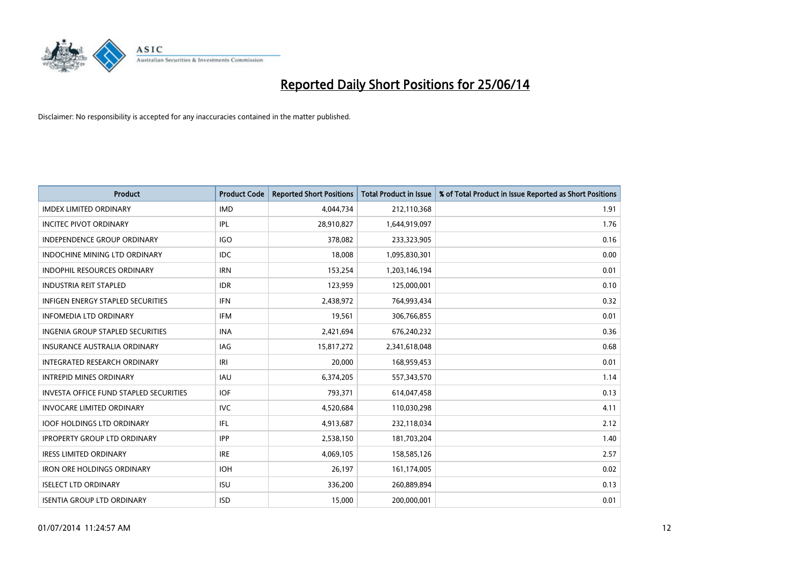

| <b>Product</b>                                | <b>Product Code</b> | <b>Reported Short Positions</b> | <b>Total Product in Issue</b> | % of Total Product in Issue Reported as Short Positions |
|-----------------------------------------------|---------------------|---------------------------------|-------------------------------|---------------------------------------------------------|
| <b>IMDEX LIMITED ORDINARY</b>                 | <b>IMD</b>          | 4,044,734                       | 212,110,368                   | 1.91                                                    |
| <b>INCITEC PIVOT ORDINARY</b>                 | IPL                 | 28,910,827                      | 1,644,919,097                 | 1.76                                                    |
| <b>INDEPENDENCE GROUP ORDINARY</b>            | <b>IGO</b>          | 378,082                         | 233,323,905                   | 0.16                                                    |
| INDOCHINE MINING LTD ORDINARY                 | <b>IDC</b>          | 18,008                          | 1,095,830,301                 | 0.00                                                    |
| <b>INDOPHIL RESOURCES ORDINARY</b>            | <b>IRN</b>          | 153,254                         | 1,203,146,194                 | 0.01                                                    |
| <b>INDUSTRIA REIT STAPLED</b>                 | <b>IDR</b>          | 123,959                         | 125,000,001                   | 0.10                                                    |
| <b>INFIGEN ENERGY STAPLED SECURITIES</b>      | <b>IFN</b>          | 2,438,972                       | 764,993,434                   | 0.32                                                    |
| <b>INFOMEDIA LTD ORDINARY</b>                 | <b>IFM</b>          | 19,561                          | 306,766,855                   | 0.01                                                    |
| INGENIA GROUP STAPLED SECURITIES              | <b>INA</b>          | 2,421,694                       | 676,240,232                   | 0.36                                                    |
| <b>INSURANCE AUSTRALIA ORDINARY</b>           | <b>IAG</b>          | 15,817,272                      | 2,341,618,048                 | 0.68                                                    |
| INTEGRATED RESEARCH ORDINARY                  | IRI                 | 20,000                          | 168,959,453                   | 0.01                                                    |
| <b>INTREPID MINES ORDINARY</b>                | <b>IAU</b>          | 6,374,205                       | 557,343,570                   | 1.14                                                    |
| <b>INVESTA OFFICE FUND STAPLED SECURITIES</b> | <b>IOF</b>          | 793,371                         | 614,047,458                   | 0.13                                                    |
| <b>INVOCARE LIMITED ORDINARY</b>              | <b>IVC</b>          | 4,520,684                       | 110,030,298                   | 4.11                                                    |
| <b>IOOF HOLDINGS LTD ORDINARY</b>             | IFL                 | 4,913,687                       | 232,118,034                   | 2.12                                                    |
| <b>IPROPERTY GROUP LTD ORDINARY</b>           | <b>IPP</b>          | 2,538,150                       | 181,703,204                   | 1.40                                                    |
| <b>IRESS LIMITED ORDINARY</b>                 | <b>IRE</b>          | 4,069,105                       | 158,585,126                   | 2.57                                                    |
| <b>IRON ORE HOLDINGS ORDINARY</b>             | <b>IOH</b>          | 26,197                          | 161,174,005                   | 0.02                                                    |
| <b>ISELECT LTD ORDINARY</b>                   | <b>ISU</b>          | 336,200                         | 260,889,894                   | 0.13                                                    |
| <b>ISENTIA GROUP LTD ORDINARY</b>             | <b>ISD</b>          | 15,000                          | 200,000,001                   | 0.01                                                    |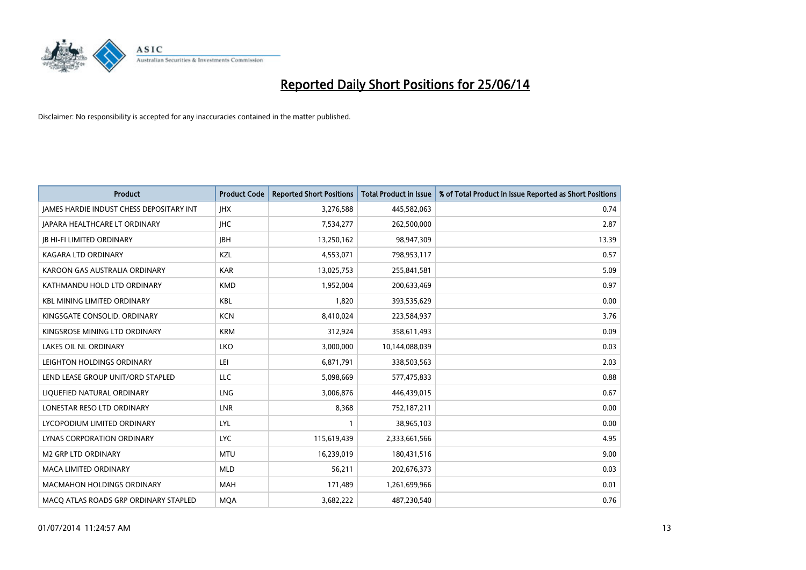

| <b>Product</b>                                  | <b>Product Code</b> | <b>Reported Short Positions</b> | <b>Total Product in Issue</b> | % of Total Product in Issue Reported as Short Positions |
|-------------------------------------------------|---------------------|---------------------------------|-------------------------------|---------------------------------------------------------|
| <b>JAMES HARDIE INDUST CHESS DEPOSITARY INT</b> | <b>IHX</b>          | 3,276,588                       | 445,582,063                   | 0.74                                                    |
| JAPARA HEALTHCARE LT ORDINARY                   | <b>IHC</b>          | 7,534,277                       | 262,500,000                   | 2.87                                                    |
| <b>IB HI-FI LIMITED ORDINARY</b>                | <b>IBH</b>          | 13,250,162                      | 98,947,309                    | 13.39                                                   |
| <b>KAGARA LTD ORDINARY</b>                      | <b>KZL</b>          | 4,553,071                       | 798,953,117                   | 0.57                                                    |
| KAROON GAS AUSTRALIA ORDINARY                   | <b>KAR</b>          | 13,025,753                      | 255,841,581                   | 5.09                                                    |
| KATHMANDU HOLD LTD ORDINARY                     | <b>KMD</b>          | 1,952,004                       | 200,633,469                   | 0.97                                                    |
| <b>KBL MINING LIMITED ORDINARY</b>              | <b>KBL</b>          | 1.820                           | 393,535,629                   | 0.00                                                    |
| KINGSGATE CONSOLID, ORDINARY                    | <b>KCN</b>          | 8,410,024                       | 223,584,937                   | 3.76                                                    |
| KINGSROSE MINING LTD ORDINARY                   | <b>KRM</b>          | 312,924                         | 358,611,493                   | 0.09                                                    |
| <b>LAKES OIL NL ORDINARY</b>                    | <b>LKO</b>          | 3,000,000                       | 10,144,088,039                | 0.03                                                    |
| LEIGHTON HOLDINGS ORDINARY                      | LEI                 | 6,871,791                       | 338,503,563                   | 2.03                                                    |
| LEND LEASE GROUP UNIT/ORD STAPLED               | <b>LLC</b>          | 5,098,669                       | 577,475,833                   | 0.88                                                    |
| LIQUEFIED NATURAL ORDINARY                      | <b>LNG</b>          | 3,006,876                       | 446,439,015                   | 0.67                                                    |
| LONESTAR RESO LTD ORDINARY                      | LNR                 | 8,368                           | 752,187,211                   | 0.00                                                    |
| LYCOPODIUM LIMITED ORDINARY                     | LYL                 | $\mathbf{1}$                    | 38,965,103                    | 0.00                                                    |
| LYNAS CORPORATION ORDINARY                      | <b>LYC</b>          | 115,619,439                     | 2,333,661,566                 | 4.95                                                    |
| <b>M2 GRP LTD ORDINARY</b>                      | <b>MTU</b>          | 16,239,019                      | 180,431,516                   | 9.00                                                    |
| <b>MACA LIMITED ORDINARY</b>                    | <b>MLD</b>          | 56,211                          | 202,676,373                   | 0.03                                                    |
| <b>MACMAHON HOLDINGS ORDINARY</b>               | <b>MAH</b>          | 171,489                         | 1,261,699,966                 | 0.01                                                    |
| MACO ATLAS ROADS GRP ORDINARY STAPLED           | <b>MOA</b>          | 3,682,222                       | 487,230,540                   | 0.76                                                    |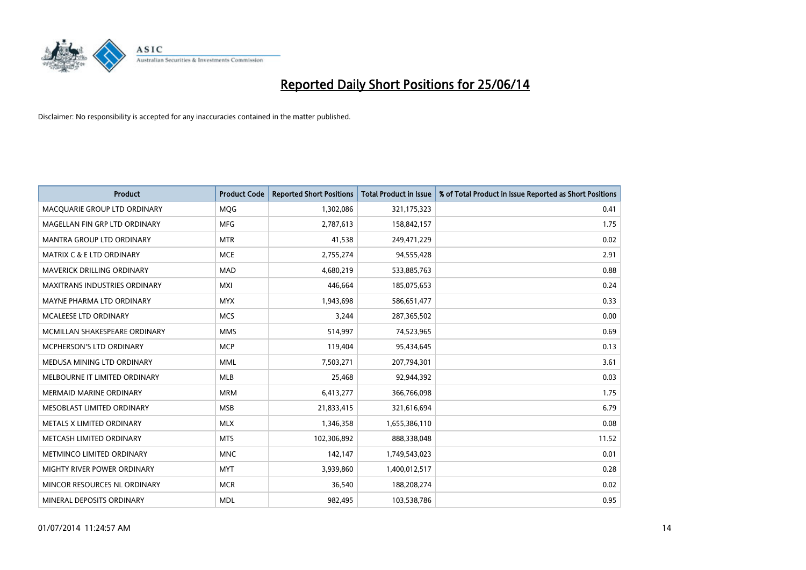

| <b>Product</b>                       | <b>Product Code</b> | <b>Reported Short Positions</b> | <b>Total Product in Issue</b> | % of Total Product in Issue Reported as Short Positions |
|--------------------------------------|---------------------|---------------------------------|-------------------------------|---------------------------------------------------------|
| MACQUARIE GROUP LTD ORDINARY         | <b>MQG</b>          | 1,302,086                       | 321,175,323                   | 0.41                                                    |
| MAGELLAN FIN GRP LTD ORDINARY        | <b>MFG</b>          | 2,787,613                       | 158,842,157                   | 1.75                                                    |
| <b>MANTRA GROUP LTD ORDINARY</b>     | <b>MTR</b>          | 41,538                          | 249,471,229                   | 0.02                                                    |
| <b>MATRIX C &amp; E LTD ORDINARY</b> | <b>MCE</b>          | 2,755,274                       | 94,555,428                    | 2.91                                                    |
| MAVERICK DRILLING ORDINARY           | <b>MAD</b>          | 4,680,219                       | 533,885,763                   | 0.88                                                    |
| <b>MAXITRANS INDUSTRIES ORDINARY</b> | <b>MXI</b>          | 446,664                         | 185,075,653                   | 0.24                                                    |
| MAYNE PHARMA LTD ORDINARY            | <b>MYX</b>          | 1,943,698                       | 586,651,477                   | 0.33                                                    |
| MCALEESE LTD ORDINARY                | <b>MCS</b>          | 3,244                           | 287,365,502                   | 0.00                                                    |
| MCMILLAN SHAKESPEARE ORDINARY        | <b>MMS</b>          | 514,997                         | 74,523,965                    | 0.69                                                    |
| <b>MCPHERSON'S LTD ORDINARY</b>      | <b>MCP</b>          | 119,404                         | 95,434,645                    | 0.13                                                    |
| MEDUSA MINING LTD ORDINARY           | <b>MML</b>          | 7,503,271                       | 207,794,301                   | 3.61                                                    |
| MELBOURNE IT LIMITED ORDINARY        | MLB                 | 25,468                          | 92,944,392                    | 0.03                                                    |
| <b>MERMAID MARINE ORDINARY</b>       | <b>MRM</b>          | 6,413,277                       | 366,766,098                   | 1.75                                                    |
| MESOBLAST LIMITED ORDINARY           | <b>MSB</b>          | 21,833,415                      | 321,616,694                   | 6.79                                                    |
| METALS X LIMITED ORDINARY            | <b>MLX</b>          | 1,346,358                       | 1,655,386,110                 | 0.08                                                    |
| METCASH LIMITED ORDINARY             | <b>MTS</b>          | 102,306,892                     | 888,338,048                   | 11.52                                                   |
| METMINCO LIMITED ORDINARY            | <b>MNC</b>          | 142,147                         | 1,749,543,023                 | 0.01                                                    |
| MIGHTY RIVER POWER ORDINARY          | <b>MYT</b>          | 3,939,860                       | 1,400,012,517                 | 0.28                                                    |
| MINCOR RESOURCES NL ORDINARY         | <b>MCR</b>          | 36,540                          | 188,208,274                   | 0.02                                                    |
| MINERAL DEPOSITS ORDINARY            | <b>MDL</b>          | 982,495                         | 103,538,786                   | 0.95                                                    |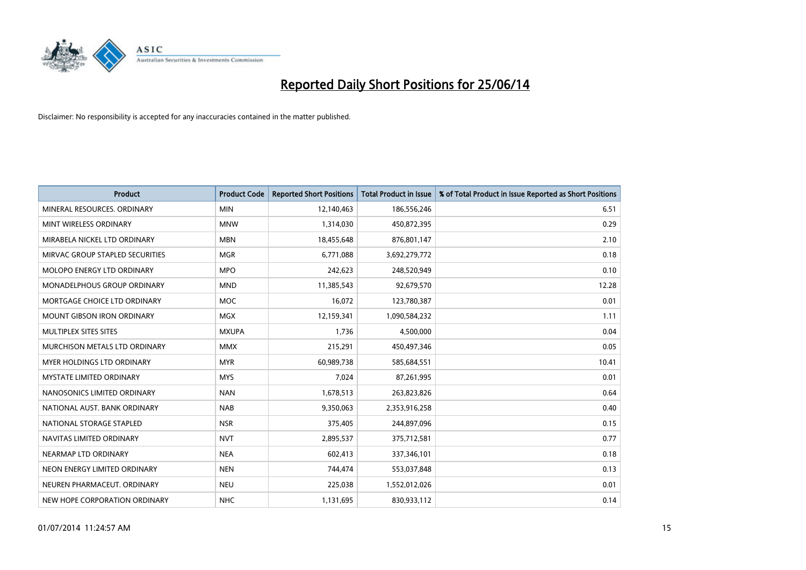

| <b>Product</b>                  | <b>Product Code</b> | <b>Reported Short Positions</b> | <b>Total Product in Issue</b> | % of Total Product in Issue Reported as Short Positions |
|---------------------------------|---------------------|---------------------------------|-------------------------------|---------------------------------------------------------|
| MINERAL RESOURCES, ORDINARY     | <b>MIN</b>          | 12,140,463                      | 186,556,246                   | 6.51                                                    |
| MINT WIRELESS ORDINARY          | <b>MNW</b>          | 1,314,030                       | 450,872,395                   | 0.29                                                    |
| MIRABELA NICKEL LTD ORDINARY    | <b>MBN</b>          | 18,455,648                      | 876,801,147                   | 2.10                                                    |
| MIRVAC GROUP STAPLED SECURITIES | <b>MGR</b>          | 6,771,088                       | 3,692,279,772                 | 0.18                                                    |
| MOLOPO ENERGY LTD ORDINARY      | <b>MPO</b>          | 242,623                         | 248,520,949                   | 0.10                                                    |
| MONADELPHOUS GROUP ORDINARY     | <b>MND</b>          | 11,385,543                      | 92,679,570                    | 12.28                                                   |
| MORTGAGE CHOICE LTD ORDINARY    | MOC                 | 16,072                          | 123,780,387                   | 0.01                                                    |
| MOUNT GIBSON IRON ORDINARY      | <b>MGX</b>          | 12,159,341                      | 1,090,584,232                 | 1.11                                                    |
| MULTIPLEX SITES SITES           | <b>MXUPA</b>        | 1,736                           | 4,500,000                     | 0.04                                                    |
| MURCHISON METALS LTD ORDINARY   | <b>MMX</b>          | 215,291                         | 450,497,346                   | 0.05                                                    |
| MYER HOLDINGS LTD ORDINARY      | <b>MYR</b>          | 60,989,738                      | 585,684,551                   | 10.41                                                   |
| <b>MYSTATE LIMITED ORDINARY</b> | <b>MYS</b>          | 7,024                           | 87,261,995                    | 0.01                                                    |
| NANOSONICS LIMITED ORDINARY     | <b>NAN</b>          | 1,678,513                       | 263,823,826                   | 0.64                                                    |
| NATIONAL AUST. BANK ORDINARY    | <b>NAB</b>          | 9,350,063                       | 2,353,916,258                 | 0.40                                                    |
| NATIONAL STORAGE STAPLED        | <b>NSR</b>          | 375,405                         | 244,897,096                   | 0.15                                                    |
| NAVITAS LIMITED ORDINARY        | <b>NVT</b>          | 2,895,537                       | 375,712,581                   | 0.77                                                    |
| NEARMAP LTD ORDINARY            | <b>NEA</b>          | 602,413                         | 337,346,101                   | 0.18                                                    |
| NEON ENERGY LIMITED ORDINARY    | <b>NEN</b>          | 744,474                         | 553,037,848                   | 0.13                                                    |
| NEUREN PHARMACEUT, ORDINARY     | <b>NEU</b>          | 225,038                         | 1,552,012,026                 | 0.01                                                    |
| NEW HOPE CORPORATION ORDINARY   | <b>NHC</b>          | 1,131,695                       | 830,933,112                   | 0.14                                                    |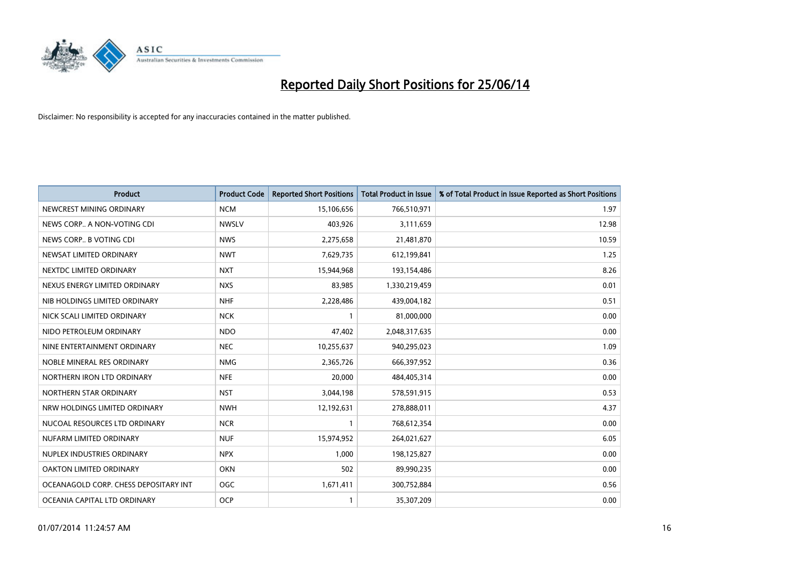

| <b>Product</b>                        | <b>Product Code</b> | <b>Reported Short Positions</b> | <b>Total Product in Issue</b> | % of Total Product in Issue Reported as Short Positions |
|---------------------------------------|---------------------|---------------------------------|-------------------------------|---------------------------------------------------------|
| NEWCREST MINING ORDINARY              | <b>NCM</b>          | 15,106,656                      | 766,510,971                   | 1.97                                                    |
| NEWS CORP A NON-VOTING CDI            | <b>NWSLV</b>        | 403,926                         | 3,111,659                     | 12.98                                                   |
| NEWS CORP B VOTING CDI                | <b>NWS</b>          | 2,275,658                       | 21,481,870                    | 10.59                                                   |
| NEWSAT LIMITED ORDINARY               | <b>NWT</b>          | 7,629,735                       | 612,199,841                   | 1.25                                                    |
| NEXTDC LIMITED ORDINARY               | <b>NXT</b>          | 15,944,968                      | 193,154,486                   | 8.26                                                    |
| NEXUS ENERGY LIMITED ORDINARY         | <b>NXS</b>          | 83,985                          | 1,330,219,459                 | 0.01                                                    |
| NIB HOLDINGS LIMITED ORDINARY         | <b>NHF</b>          | 2,228,486                       | 439,004,182                   | 0.51                                                    |
| NICK SCALI LIMITED ORDINARY           | <b>NCK</b>          | $\mathbf{1}$                    | 81,000,000                    | 0.00                                                    |
| NIDO PETROLEUM ORDINARY               | <b>NDO</b>          | 47,402                          | 2,048,317,635                 | 0.00                                                    |
| NINE ENTERTAINMENT ORDINARY           | <b>NEC</b>          | 10,255,637                      | 940,295,023                   | 1.09                                                    |
| NOBLE MINERAL RES ORDINARY            | <b>NMG</b>          | 2,365,726                       | 666,397,952                   | 0.36                                                    |
| NORTHERN IRON LTD ORDINARY            | <b>NFE</b>          | 20,000                          | 484,405,314                   | 0.00                                                    |
| NORTHERN STAR ORDINARY                | <b>NST</b>          | 3,044,198                       | 578,591,915                   | 0.53                                                    |
| NRW HOLDINGS LIMITED ORDINARY         | <b>NWH</b>          | 12,192,631                      | 278,888,011                   | 4.37                                                    |
| NUCOAL RESOURCES LTD ORDINARY         | <b>NCR</b>          | 1                               | 768,612,354                   | 0.00                                                    |
| NUFARM LIMITED ORDINARY               | <b>NUF</b>          | 15,974,952                      | 264,021,627                   | 6.05                                                    |
| NUPLEX INDUSTRIES ORDINARY            | <b>NPX</b>          | 1,000                           | 198,125,827                   | 0.00                                                    |
| <b>OAKTON LIMITED ORDINARY</b>        | <b>OKN</b>          | 502                             | 89,990,235                    | 0.00                                                    |
| OCEANAGOLD CORP. CHESS DEPOSITARY INT | OGC                 | 1,671,411                       | 300,752,884                   | 0.56                                                    |
| OCEANIA CAPITAL LTD ORDINARY          | <b>OCP</b>          | 1                               | 35,307,209                    | 0.00                                                    |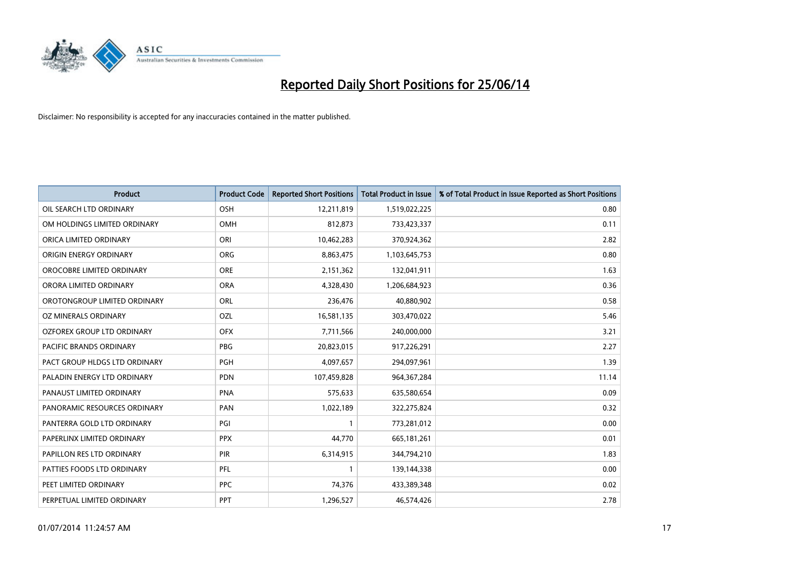

| Product                        | <b>Product Code</b> | <b>Reported Short Positions</b> | <b>Total Product in Issue</b> | % of Total Product in Issue Reported as Short Positions |
|--------------------------------|---------------------|---------------------------------|-------------------------------|---------------------------------------------------------|
| OIL SEARCH LTD ORDINARY        | OSH                 | 12,211,819                      | 1,519,022,225                 | 0.80                                                    |
| OM HOLDINGS LIMITED ORDINARY   | OMH                 | 812,873                         | 733,423,337                   | 0.11                                                    |
| ORICA LIMITED ORDINARY         | ORI                 | 10,462,283                      | 370,924,362                   | 2.82                                                    |
| ORIGIN ENERGY ORDINARY         | <b>ORG</b>          | 8,863,475                       | 1,103,645,753                 | 0.80                                                    |
| OROCOBRE LIMITED ORDINARY      | <b>ORE</b>          | 2,151,362                       | 132,041,911                   | 1.63                                                    |
| ORORA LIMITED ORDINARY         | <b>ORA</b>          | 4,328,430                       | 1,206,684,923                 | 0.36                                                    |
| OROTONGROUP LIMITED ORDINARY   | <b>ORL</b>          | 236,476                         | 40,880,902                    | 0.58                                                    |
| OZ MINERALS ORDINARY           | OZL                 | 16,581,135                      | 303,470,022                   | 5.46                                                    |
| OZFOREX GROUP LTD ORDINARY     | <b>OFX</b>          | 7,711,566                       | 240,000,000                   | 3.21                                                    |
| <b>PACIFIC BRANDS ORDINARY</b> | <b>PBG</b>          | 20,823,015                      | 917,226,291                   | 2.27                                                    |
| PACT GROUP HLDGS LTD ORDINARY  | PGH                 | 4,097,657                       | 294,097,961                   | 1.39                                                    |
| PALADIN ENERGY LTD ORDINARY    | <b>PDN</b>          | 107,459,828                     | 964,367,284                   | 11.14                                                   |
| PANAUST LIMITED ORDINARY       | <b>PNA</b>          | 575,633                         | 635,580,654                   | 0.09                                                    |
| PANORAMIC RESOURCES ORDINARY   | PAN                 | 1,022,189                       | 322,275,824                   | 0.32                                                    |
| PANTERRA GOLD LTD ORDINARY     | PGI                 | $\mathbf{1}$                    | 773,281,012                   | 0.00                                                    |
| PAPERLINX LIMITED ORDINARY     | <b>PPX</b>          | 44,770                          | 665,181,261                   | 0.01                                                    |
| PAPILLON RES LTD ORDINARY      | <b>PIR</b>          | 6,314,915                       | 344,794,210                   | 1.83                                                    |
| PATTIES FOODS LTD ORDINARY     | PFL                 | 1                               | 139,144,338                   | 0.00                                                    |
| PEET LIMITED ORDINARY          | <b>PPC</b>          | 74,376                          | 433,389,348                   | 0.02                                                    |
| PERPETUAL LIMITED ORDINARY     | PPT                 | 1,296,527                       | 46,574,426                    | 2.78                                                    |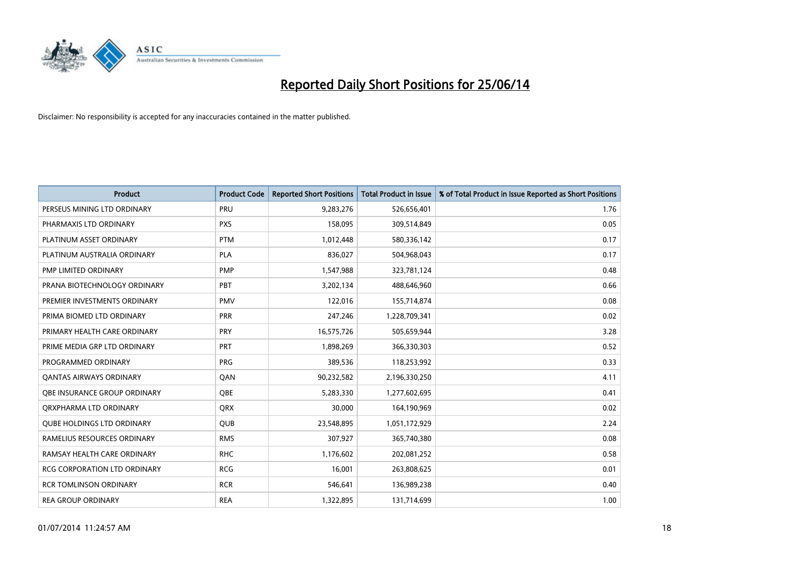

| <b>Product</b>                    | <b>Product Code</b> | <b>Reported Short Positions</b> | <b>Total Product in Issue</b> | % of Total Product in Issue Reported as Short Positions |
|-----------------------------------|---------------------|---------------------------------|-------------------------------|---------------------------------------------------------|
| PERSEUS MINING LTD ORDINARY       | PRU                 | 9,283,276                       | 526,656,401                   | 1.76                                                    |
| PHARMAXIS LTD ORDINARY            | <b>PXS</b>          | 158,095                         | 309,514,849                   | 0.05                                                    |
| PLATINUM ASSET ORDINARY           | <b>PTM</b>          | 1,012,448                       | 580,336,142                   | 0.17                                                    |
| PLATINUM AUSTRALIA ORDINARY       | <b>PLA</b>          | 836,027                         | 504,968,043                   | 0.17                                                    |
| PMP LIMITED ORDINARY              | <b>PMP</b>          | 1,547,988                       | 323,781,124                   | 0.48                                                    |
| PRANA BIOTECHNOLOGY ORDINARY      | PBT                 | 3,202,134                       | 488,646,960                   | 0.66                                                    |
| PREMIER INVESTMENTS ORDINARY      | <b>PMV</b>          | 122,016                         | 155,714,874                   | 0.08                                                    |
| PRIMA BIOMED LTD ORDINARY         | <b>PRR</b>          | 247,246                         | 1,228,709,341                 | 0.02                                                    |
| PRIMARY HEALTH CARE ORDINARY      | <b>PRY</b>          | 16,575,726                      | 505,659,944                   | 3.28                                                    |
| PRIME MEDIA GRP LTD ORDINARY      | <b>PRT</b>          | 1,898,269                       | 366,330,303                   | 0.52                                                    |
| PROGRAMMED ORDINARY               | <b>PRG</b>          | 389,536                         | 118,253,992                   | 0.33                                                    |
| <b>QANTAS AIRWAYS ORDINARY</b>    | QAN                 | 90,232,582                      | 2,196,330,250                 | 4.11                                                    |
| OBE INSURANCE GROUP ORDINARY      | <b>OBE</b>          | 5,283,330                       | 1,277,602,695                 | 0.41                                                    |
| ORXPHARMA LTD ORDINARY            | <b>QRX</b>          | 30,000                          | 164,190,969                   | 0.02                                                    |
| <b>QUBE HOLDINGS LTD ORDINARY</b> | <b>QUB</b>          | 23,548,895                      | 1,051,172,929                 | 2.24                                                    |
| RAMELIUS RESOURCES ORDINARY       | <b>RMS</b>          | 307,927                         | 365,740,380                   | 0.08                                                    |
| RAMSAY HEALTH CARE ORDINARY       | <b>RHC</b>          | 1,176,602                       | 202,081,252                   | 0.58                                                    |
| RCG CORPORATION LTD ORDINARY      | <b>RCG</b>          | 16,001                          | 263,808,625                   | 0.01                                                    |
| <b>RCR TOMLINSON ORDINARY</b>     | <b>RCR</b>          | 546,641                         | 136,989,238                   | 0.40                                                    |
| <b>REA GROUP ORDINARY</b>         | <b>REA</b>          | 1,322,895                       | 131,714,699                   | 1.00                                                    |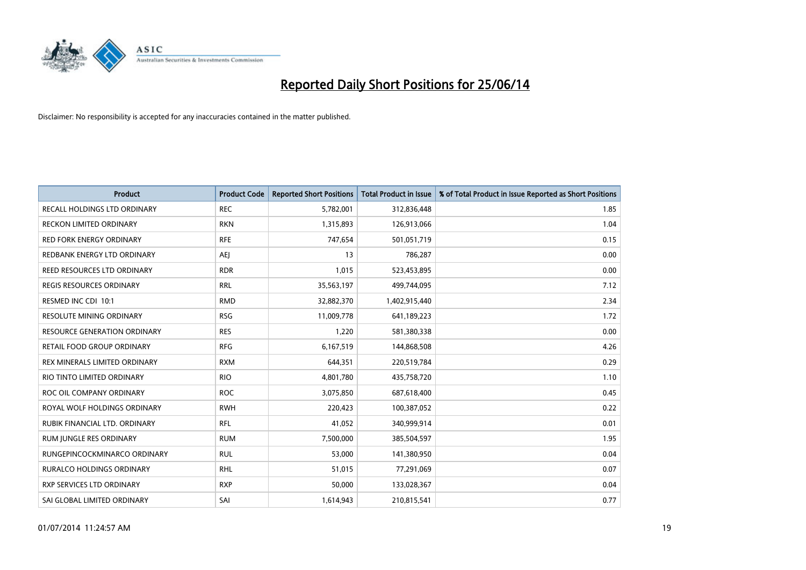

| <b>Product</b>                      | <b>Product Code</b> | <b>Reported Short Positions</b> | <b>Total Product in Issue</b> | % of Total Product in Issue Reported as Short Positions |
|-------------------------------------|---------------------|---------------------------------|-------------------------------|---------------------------------------------------------|
| <b>RECALL HOLDINGS LTD ORDINARY</b> | <b>REC</b>          | 5,782,001                       | 312,836,448                   | 1.85                                                    |
| <b>RECKON LIMITED ORDINARY</b>      | <b>RKN</b>          | 1,315,893                       | 126,913,066                   | 1.04                                                    |
| <b>RED FORK ENERGY ORDINARY</b>     | <b>RFE</b>          | 747,654                         | 501,051,719                   | 0.15                                                    |
| REDBANK ENERGY LTD ORDINARY         | AEJ                 | 13                              | 786,287                       | 0.00                                                    |
| REED RESOURCES LTD ORDINARY         | <b>RDR</b>          | 1,015                           | 523,453,895                   | 0.00                                                    |
| <b>REGIS RESOURCES ORDINARY</b>     | <b>RRL</b>          | 35,563,197                      | 499,744,095                   | 7.12                                                    |
| RESMED INC CDI 10:1                 | <b>RMD</b>          | 32,882,370                      | 1,402,915,440                 | 2.34                                                    |
| <b>RESOLUTE MINING ORDINARY</b>     | <b>RSG</b>          | 11,009,778                      | 641,189,223                   | 1.72                                                    |
| <b>RESOURCE GENERATION ORDINARY</b> | <b>RES</b>          | 1,220                           | 581,380,338                   | 0.00                                                    |
| <b>RETAIL FOOD GROUP ORDINARY</b>   | <b>RFG</b>          | 6,167,519                       | 144,868,508                   | 4.26                                                    |
| REX MINERALS LIMITED ORDINARY       | <b>RXM</b>          | 644,351                         | 220,519,784                   | 0.29                                                    |
| RIO TINTO LIMITED ORDINARY          | <b>RIO</b>          | 4,801,780                       | 435,758,720                   | 1.10                                                    |
| ROC OIL COMPANY ORDINARY            | <b>ROC</b>          | 3,075,850                       | 687,618,400                   | 0.45                                                    |
| ROYAL WOLF HOLDINGS ORDINARY        | <b>RWH</b>          | 220,423                         | 100,387,052                   | 0.22                                                    |
| RUBIK FINANCIAL LTD. ORDINARY       | <b>RFL</b>          | 41,052                          | 340,999,914                   | 0.01                                                    |
| RUM JUNGLE RES ORDINARY             | <b>RUM</b>          | 7,500,000                       | 385,504,597                   | 1.95                                                    |
| RUNGEPINCOCKMINARCO ORDINARY        | <b>RUL</b>          | 53,000                          | 141,380,950                   | 0.04                                                    |
| <b>RURALCO HOLDINGS ORDINARY</b>    | <b>RHL</b>          | 51,015                          | 77,291,069                    | 0.07                                                    |
| RXP SERVICES LTD ORDINARY           | <b>RXP</b>          | 50,000                          | 133,028,367                   | 0.04                                                    |
| SAI GLOBAL LIMITED ORDINARY         | SAI                 | 1,614,943                       | 210,815,541                   | 0.77                                                    |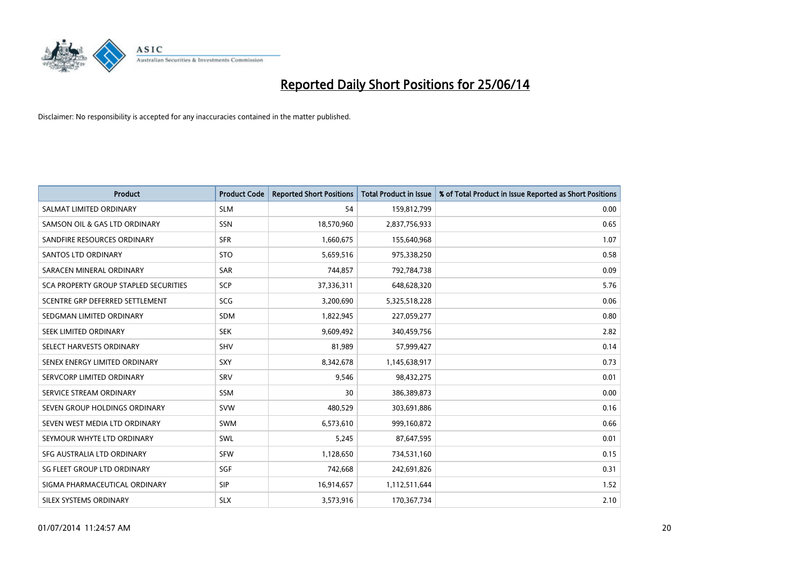

| <b>Product</b>                        | <b>Product Code</b> | <b>Reported Short Positions</b> | <b>Total Product in Issue</b> | % of Total Product in Issue Reported as Short Positions |
|---------------------------------------|---------------------|---------------------------------|-------------------------------|---------------------------------------------------------|
| SALMAT LIMITED ORDINARY               | <b>SLM</b>          | 54                              | 159,812,799                   | 0.00                                                    |
| SAMSON OIL & GAS LTD ORDINARY         | SSN                 | 18,570,960                      | 2,837,756,933                 | 0.65                                                    |
| SANDFIRE RESOURCES ORDINARY           | <b>SFR</b>          | 1,660,675                       | 155,640,968                   | 1.07                                                    |
| SANTOS LTD ORDINARY                   | <b>STO</b>          | 5,659,516                       | 975,338,250                   | 0.58                                                    |
| SARACEN MINERAL ORDINARY              | <b>SAR</b>          | 744,857                         | 792,784,738                   | 0.09                                                    |
| SCA PROPERTY GROUP STAPLED SECURITIES | <b>SCP</b>          | 37,336,311                      | 648,628,320                   | 5.76                                                    |
| SCENTRE GRP DEFERRED SETTLEMENT       | <b>SCG</b>          | 3,200,690                       | 5,325,518,228                 | 0.06                                                    |
| SEDGMAN LIMITED ORDINARY              | <b>SDM</b>          | 1,822,945                       | 227,059,277                   | 0.80                                                    |
| SEEK LIMITED ORDINARY                 | <b>SEK</b>          | 9,609,492                       | 340,459,756                   | 2.82                                                    |
| SELECT HARVESTS ORDINARY              | <b>SHV</b>          | 81,989                          | 57,999,427                    | 0.14                                                    |
| SENEX ENERGY LIMITED ORDINARY         | <b>SXY</b>          | 8,342,678                       | 1,145,638,917                 | 0.73                                                    |
| SERVCORP LIMITED ORDINARY             | SRV                 | 9,546                           | 98,432,275                    | 0.01                                                    |
| SERVICE STREAM ORDINARY               | SSM                 | 30                              | 386,389,873                   | 0.00                                                    |
| SEVEN GROUP HOLDINGS ORDINARY         | <b>SVW</b>          | 480,529                         | 303,691,886                   | 0.16                                                    |
| SEVEN WEST MEDIA LTD ORDINARY         | <b>SWM</b>          | 6,573,610                       | 999,160,872                   | 0.66                                                    |
| SEYMOUR WHYTE LTD ORDINARY            | SWL                 | 5,245                           | 87,647,595                    | 0.01                                                    |
| SFG AUSTRALIA LTD ORDINARY            | <b>SFW</b>          | 1,128,650                       | 734,531,160                   | 0.15                                                    |
| SG FLEET GROUP LTD ORDINARY           | <b>SGF</b>          | 742,668                         | 242,691,826                   | 0.31                                                    |
| SIGMA PHARMACEUTICAL ORDINARY         | <b>SIP</b>          | 16,914,657                      | 1,112,511,644                 | 1.52                                                    |
| SILEX SYSTEMS ORDINARY                | <b>SLX</b>          | 3,573,916                       | 170,367,734                   | 2.10                                                    |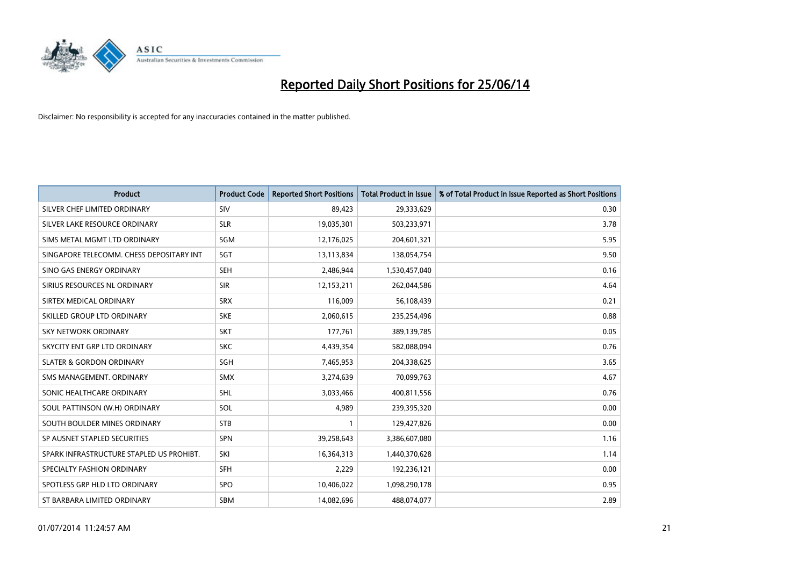

| <b>Product</b>                           | <b>Product Code</b> | <b>Reported Short Positions</b> | <b>Total Product in Issue</b> | % of Total Product in Issue Reported as Short Positions |
|------------------------------------------|---------------------|---------------------------------|-------------------------------|---------------------------------------------------------|
| SILVER CHEF LIMITED ORDINARY             | SIV                 | 89,423                          | 29,333,629                    | 0.30                                                    |
| SILVER LAKE RESOURCE ORDINARY            | <b>SLR</b>          | 19,035,301                      | 503,233,971                   | 3.78                                                    |
| SIMS METAL MGMT LTD ORDINARY             | <b>SGM</b>          | 12,176,025                      | 204,601,321                   | 5.95                                                    |
| SINGAPORE TELECOMM. CHESS DEPOSITARY INT | SGT                 | 13,113,834                      | 138,054,754                   | 9.50                                                    |
| SINO GAS ENERGY ORDINARY                 | <b>SEH</b>          | 2,486,944                       | 1,530,457,040                 | 0.16                                                    |
| SIRIUS RESOURCES NL ORDINARY             | <b>SIR</b>          | 12,153,211                      | 262,044,586                   | 4.64                                                    |
| SIRTEX MEDICAL ORDINARY                  | <b>SRX</b>          | 116,009                         | 56,108,439                    | 0.21                                                    |
| SKILLED GROUP LTD ORDINARY               | <b>SKE</b>          | 2,060,615                       | 235,254,496                   | 0.88                                                    |
| <b>SKY NETWORK ORDINARY</b>              | <b>SKT</b>          | 177,761                         | 389,139,785                   | 0.05                                                    |
| SKYCITY ENT GRP LTD ORDINARY             | <b>SKC</b>          | 4,439,354                       | 582,088,094                   | 0.76                                                    |
| <b>SLATER &amp; GORDON ORDINARY</b>      | SGH                 | 7,465,953                       | 204,338,625                   | 3.65                                                    |
| SMS MANAGEMENT, ORDINARY                 | <b>SMX</b>          | 3,274,639                       | 70,099,763                    | 4.67                                                    |
| SONIC HEALTHCARE ORDINARY                | SHL                 | 3,033,466                       | 400,811,556                   | 0.76                                                    |
| SOUL PATTINSON (W.H) ORDINARY            | SOL                 | 4,989                           | 239,395,320                   | 0.00                                                    |
| SOUTH BOULDER MINES ORDINARY             | <b>STB</b>          | 1                               | 129,427,826                   | 0.00                                                    |
| SP AUSNET STAPLED SECURITIES             | SPN                 | 39,258,643                      | 3,386,607,080                 | 1.16                                                    |
| SPARK INFRASTRUCTURE STAPLED US PROHIBT. | SKI                 | 16,364,313                      | 1,440,370,628                 | 1.14                                                    |
| SPECIALTY FASHION ORDINARY               | <b>SFH</b>          | 2,229                           | 192,236,121                   | 0.00                                                    |
| SPOTLESS GRP HLD LTD ORDINARY            | <b>SPO</b>          | 10,406,022                      | 1,098,290,178                 | 0.95                                                    |
| ST BARBARA LIMITED ORDINARY              | <b>SBM</b>          | 14,082,696                      | 488,074,077                   | 2.89                                                    |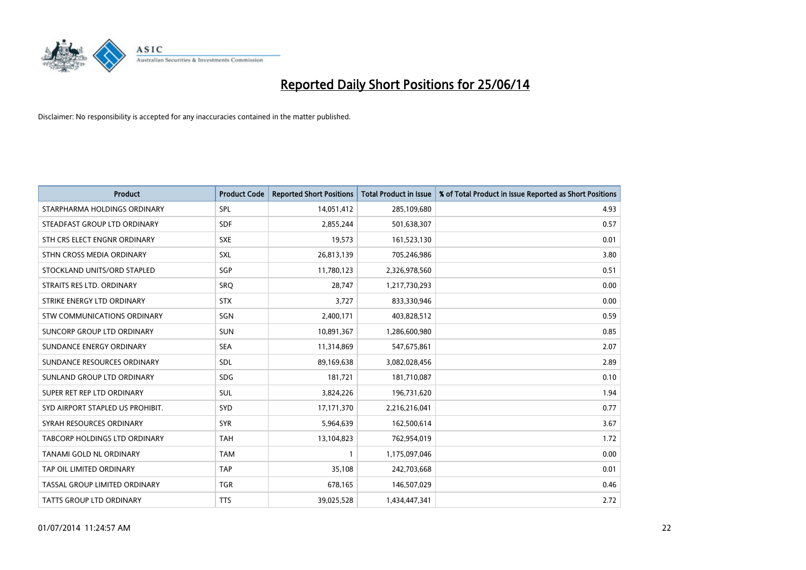

| <b>Product</b>                   | <b>Product Code</b> | <b>Reported Short Positions</b> | <b>Total Product in Issue</b> | % of Total Product in Issue Reported as Short Positions |
|----------------------------------|---------------------|---------------------------------|-------------------------------|---------------------------------------------------------|
| STARPHARMA HOLDINGS ORDINARY     | SPL                 | 14,051,412                      | 285,109,680                   | 4.93                                                    |
| STEADFAST GROUP LTD ORDINARY     | <b>SDF</b>          | 2,855,244                       | 501,638,307                   | 0.57                                                    |
| STH CRS ELECT ENGNR ORDINARY     | <b>SXE</b>          | 19,573                          | 161,523,130                   | 0.01                                                    |
| STHN CROSS MEDIA ORDINARY        | SXL                 | 26,813,139                      | 705,246,986                   | 3.80                                                    |
| STOCKLAND UNITS/ORD STAPLED      | SGP                 | 11,780,123                      | 2,326,978,560                 | 0.51                                                    |
| STRAITS RES LTD. ORDINARY        | SRQ                 | 28,747                          | 1,217,730,293                 | 0.00                                                    |
| STRIKE ENERGY LTD ORDINARY       | <b>STX</b>          | 3,727                           | 833,330,946                   | 0.00                                                    |
| STW COMMUNICATIONS ORDINARY      | SGN                 | 2,400,171                       | 403,828,512                   | 0.59                                                    |
| SUNCORP GROUP LTD ORDINARY       | <b>SUN</b>          | 10,891,367                      | 1,286,600,980                 | 0.85                                                    |
| SUNDANCE ENERGY ORDINARY         | <b>SEA</b>          | 11,314,869                      | 547,675,861                   | 2.07                                                    |
| SUNDANCE RESOURCES ORDINARY      | SDL                 | 89,169,638                      | 3,082,028,456                 | 2.89                                                    |
| SUNLAND GROUP LTD ORDINARY       | <b>SDG</b>          | 181,721                         | 181,710,087                   | 0.10                                                    |
| SUPER RET REP LTD ORDINARY       | SUL                 | 3,824,226                       | 196,731,620                   | 1.94                                                    |
| SYD AIRPORT STAPLED US PROHIBIT. | <b>SYD</b>          | 17,171,370                      | 2,216,216,041                 | 0.77                                                    |
| SYRAH RESOURCES ORDINARY         | <b>SYR</b>          | 5,964,639                       | 162,500,614                   | 3.67                                                    |
| TABCORP HOLDINGS LTD ORDINARY    | <b>TAH</b>          | 13,104,823                      | 762,954,019                   | 1.72                                                    |
| TANAMI GOLD NL ORDINARY          | <b>TAM</b>          | $\mathbf{1}$                    | 1,175,097,046                 | 0.00                                                    |
| TAP OIL LIMITED ORDINARY         | <b>TAP</b>          | 35,108                          | 242,703,668                   | 0.01                                                    |
| TASSAL GROUP LIMITED ORDINARY    | <b>TGR</b>          | 678,165                         | 146,507,029                   | 0.46                                                    |
| TATTS GROUP LTD ORDINARY         | <b>TTS</b>          | 39,025,528                      | 1,434,447,341                 | 2.72                                                    |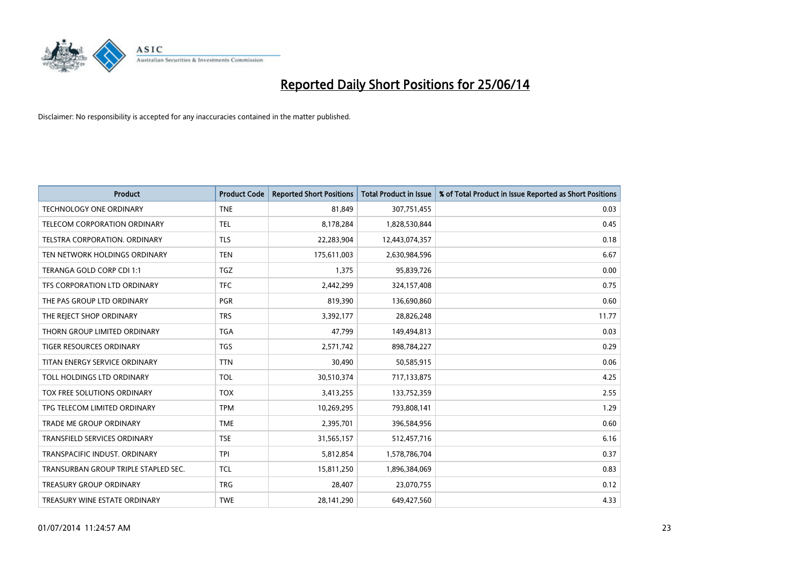

| <b>Product</b>                       | <b>Product Code</b> | <b>Reported Short Positions</b> | <b>Total Product in Issue</b> | % of Total Product in Issue Reported as Short Positions |
|--------------------------------------|---------------------|---------------------------------|-------------------------------|---------------------------------------------------------|
| <b>TECHNOLOGY ONE ORDINARY</b>       | <b>TNE</b>          | 81,849                          | 307,751,455                   | 0.03                                                    |
| TELECOM CORPORATION ORDINARY         | <b>TEL</b>          | 8,178,284                       | 1,828,530,844                 | 0.45                                                    |
| TELSTRA CORPORATION. ORDINARY        | <b>TLS</b>          | 22,283,904                      | 12,443,074,357                | 0.18                                                    |
| TEN NETWORK HOLDINGS ORDINARY        | <b>TEN</b>          | 175,611,003                     | 2,630,984,596                 | 6.67                                                    |
| TERANGA GOLD CORP CDI 1:1            | <b>TGZ</b>          | 1,375                           | 95,839,726                    | 0.00                                                    |
| TFS CORPORATION LTD ORDINARY         | <b>TFC</b>          | 2,442,299                       | 324,157,408                   | 0.75                                                    |
| THE PAS GROUP LTD ORDINARY           | <b>PGR</b>          | 819,390                         | 136,690,860                   | 0.60                                                    |
| THE REJECT SHOP ORDINARY             | <b>TRS</b>          | 3,392,177                       | 28,826,248                    | 11.77                                                   |
| THORN GROUP LIMITED ORDINARY         | <b>TGA</b>          | 47.799                          | 149,494,813                   | 0.03                                                    |
| <b>TIGER RESOURCES ORDINARY</b>      | <b>TGS</b>          | 2,571,742                       | 898,784,227                   | 0.29                                                    |
| TITAN ENERGY SERVICE ORDINARY        | <b>TTN</b>          | 30,490                          | 50,585,915                    | 0.06                                                    |
| TOLL HOLDINGS LTD ORDINARY           | <b>TOL</b>          | 30,510,374                      | 717,133,875                   | 4.25                                                    |
| TOX FREE SOLUTIONS ORDINARY          | <b>TOX</b>          | 3,413,255                       | 133,752,359                   | 2.55                                                    |
| TPG TELECOM LIMITED ORDINARY         | <b>TPM</b>          | 10,269,295                      | 793,808,141                   | 1.29                                                    |
| <b>TRADE ME GROUP ORDINARY</b>       | <b>TME</b>          | 2,395,701                       | 396,584,956                   | 0.60                                                    |
| TRANSFIELD SERVICES ORDINARY         | <b>TSE</b>          | 31,565,157                      | 512,457,716                   | 6.16                                                    |
| TRANSPACIFIC INDUST. ORDINARY        | <b>TPI</b>          | 5,812,854                       | 1,578,786,704                 | 0.37                                                    |
| TRANSURBAN GROUP TRIPLE STAPLED SEC. | <b>TCL</b>          | 15,811,250                      | 1,896,384,069                 | 0.83                                                    |
| <b>TREASURY GROUP ORDINARY</b>       | <b>TRG</b>          | 28,407                          | 23,070,755                    | 0.12                                                    |
| TREASURY WINE ESTATE ORDINARY        | <b>TWE</b>          | 28,141,290                      | 649,427,560                   | 4.33                                                    |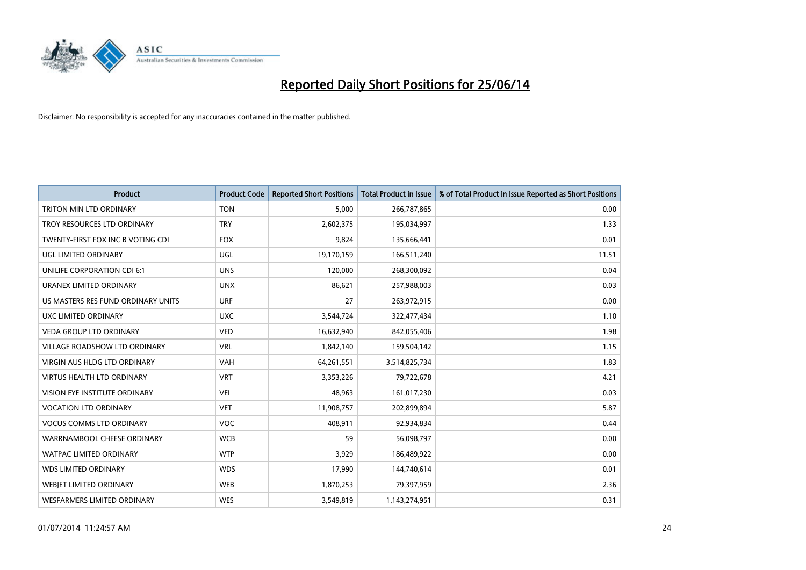

| <b>Product</b>                       | <b>Product Code</b> | <b>Reported Short Positions</b> | <b>Total Product in Issue</b> | % of Total Product in Issue Reported as Short Positions |
|--------------------------------------|---------------------|---------------------------------|-------------------------------|---------------------------------------------------------|
| <b>TRITON MIN LTD ORDINARY</b>       | <b>TON</b>          | 5,000                           | 266,787,865                   | 0.00                                                    |
| TROY RESOURCES LTD ORDINARY          | <b>TRY</b>          | 2,602,375                       | 195,034,997                   | 1.33                                                    |
| TWENTY-FIRST FOX INC B VOTING CDI    | <b>FOX</b>          | 9,824                           | 135,666,441                   | 0.01                                                    |
| UGL LIMITED ORDINARY                 | UGL                 | 19,170,159                      | 166,511,240                   | 11.51                                                   |
| UNILIFE CORPORATION CDI 6:1          | <b>UNS</b>          | 120,000                         | 268,300,092                   | 0.04                                                    |
| URANEX LIMITED ORDINARY              | <b>UNX</b>          | 86,621                          | 257,988,003                   | 0.03                                                    |
| US MASTERS RES FUND ORDINARY UNITS   | <b>URF</b>          | 27                              | 263,972,915                   | 0.00                                                    |
| UXC LIMITED ORDINARY                 | <b>UXC</b>          | 3,544,724                       | 322,477,434                   | 1.10                                                    |
| <b>VEDA GROUP LTD ORDINARY</b>       | <b>VED</b>          | 16,632,940                      | 842,055,406                   | 1.98                                                    |
| <b>VILLAGE ROADSHOW LTD ORDINARY</b> | <b>VRL</b>          | 1,842,140                       | 159,504,142                   | 1.15                                                    |
| VIRGIN AUS HLDG LTD ORDINARY         | VAH                 | 64,261,551                      | 3,514,825,734                 | 1.83                                                    |
| <b>VIRTUS HEALTH LTD ORDINARY</b>    | <b>VRT</b>          | 3,353,226                       | 79,722,678                    | 4.21                                                    |
| VISION EYE INSTITUTE ORDINARY        | <b>VEI</b>          | 48,963                          | 161,017,230                   | 0.03                                                    |
| <b>VOCATION LTD ORDINARY</b>         | <b>VET</b>          | 11,908,757                      | 202,899,894                   | 5.87                                                    |
| <b>VOCUS COMMS LTD ORDINARY</b>      | VOC                 | 408,911                         | 92,934,834                    | 0.44                                                    |
| WARRNAMBOOL CHEESE ORDINARY          | <b>WCB</b>          | 59                              | 56,098,797                    | 0.00                                                    |
| WATPAC LIMITED ORDINARY              | <b>WTP</b>          | 3,929                           | 186,489,922                   | 0.00                                                    |
| <b>WDS LIMITED ORDINARY</b>          | <b>WDS</b>          | 17,990                          | 144,740,614                   | 0.01                                                    |
| WEBJET LIMITED ORDINARY              | <b>WEB</b>          | 1,870,253                       | 79,397,959                    | 2.36                                                    |
| <b>WESFARMERS LIMITED ORDINARY</b>   | <b>WES</b>          | 3,549,819                       | 1,143,274,951                 | 0.31                                                    |